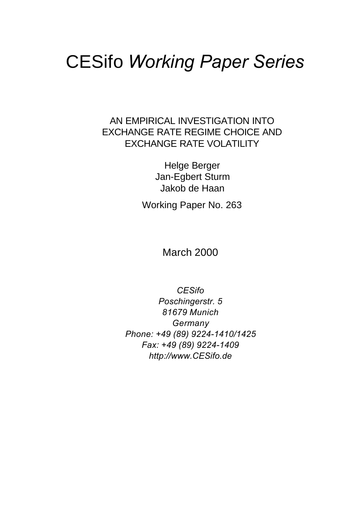# CESifo *Working Paper Series*

AN EMPIRICAL INVESTIGATION INTO EXCHANGE RATE REGIME CHOICE AND EXCHANGE RATE VOLATILITY

> Helge Berger Jan-Egbert Sturm Jakob de Haan

Working Paper No. 263

March 2000

*CESifo Poschingerstr. 5 81679 Munich Germany Phone: +49 (89) 9224-1410/1425 Fax: +49 (89) 9224-1409 http://www.CESifo.de*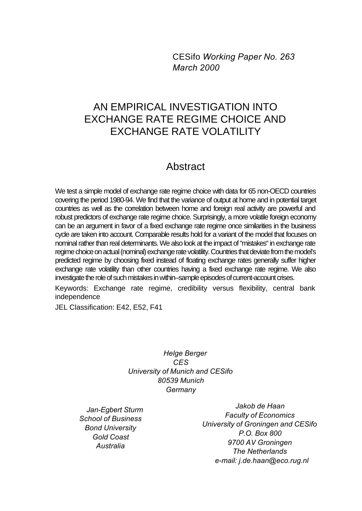CESifo *Working Paper No. 263 March 2000*

# AN EMPIRICAL INVESTIGATION INTO EXCHANGE RATE REGIME CHOICE AND EXCHANGE RATE VOLATILITY

# Abstract

We test a simple model of exchange rate regime choice with data for 65 non-OECD countries covering the period 1980-94. We find that the variance of output at home and in potential target countries as well as the correlation between home and foreign real activity are powerful and robust predictors of exchange rate regime choice. Surprisingly, a more volatile foreign economy can be an argument in favor of a fixed exchange rate regime once similarities in the business cycle are taken into account. Comparable results hold for a variant of the model that focuses on nominal rather than real determinants. We also look at the impact of "mistakes" in exchange rate regime choice on actual (nominal) exchange rate volatility. Countries that deviate from the model's predicted regime by choosing fixed instead of floating exchange rates generally suffer higher exchange rate volatility than other countries having a fixed exchange rate regime. We also investigate the role of such mistakes in within–sample episodes of current-account crises.

Keywords: Exchange rate regime, credibility versus flexibility, central bank independence

JEL Classification: E42, E52, F41

*Helge Berger CES University of Munich and CESifo 80539 Munich Germany*

*Jan-Egbert Sturm School of Business Bond University Gold Coast Australia*

*Jakob de Haan Faculty of Economics University of Groningen and CESifo P.O. Box 800 9700 AV Groningen The Netherlands e-mail: j.de.haan@eco.rug.nl*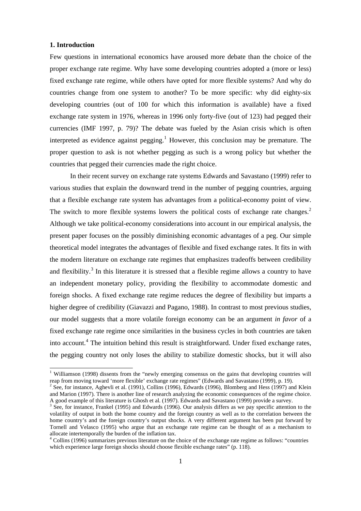# **1. Introduction**

-

Few questions in international economics have aroused more debate than the choice of the proper exchange rate regime. Why have some developing countries adopted a (more or less) fixed exchange rate regime, while others have opted for more flexible systems? And why do countries change from one system to another? To be more specific: why did eighty-six developing countries (out of 100 for which this information is available) have a fixed exchange rate system in 1976, whereas in 1996 only forty-five (out of 123) had pegged their currencies (IMF 1997, p. 79)? The debate was fueled by the Asian crisis which is often interpreted as evidence against pegging.<sup>1</sup> However, this conclusion may be premature. The proper question to ask is not whether pegging as such is a wrong policy but whether the countries that pegged their currencies made the right choice.

In their recent survey on exchange rate systems Edwards and Savastano (1999) refer to various studies that explain the downward trend in the number of pegging countries, arguing that a flexible exchange rate system has advantages from a political-economy point of view. The switch to more flexible systems lowers the political costs of exchange rate changes.<sup>2</sup> Although we take political-economy considerations into account in our empirical analysis, the present paper focuses on the possibly diminishing economic advantages of a peg. Our simple theoretical model integrates the advantages of flexible and fixed exchange rates. It fits in with the modern literature on exchange rate regimes that emphasizes tradeoffs between credibility and flexibility.<sup>3</sup> In this literature it is stressed that a flexible regime allows a country to have an independent monetary policy, providing the flexibility to accommodate domestic and foreign shocks. A fixed exchange rate regime reduces the degree of flexibility but imparts a higher degree of credibility (Giavazzi and Pagano, 1988). In contrast to most previous studies, our model suggests that a more volatile foreign economy can be an argument *in favor* of a fixed exchange rate regime once similarities in the business cycles in both countries are taken into account.<sup>4</sup> The intuition behind this result is straightforward. Under fixed exchange rates, the pegging country not only loses the ability to stabilize domestic shocks, but it will also

<sup>&</sup>lt;sup>1</sup> Williamson (1998) dissents from the "newly emerging consensus on the gains that developing countries will reap from moving toward 'more flexible' exchange rate regimes" (Edwards and Savastano (1999), p. 19).

 $2^{2}$  See, for instance, Aghevli et al. (1991), Collins (1996), Edwards (1996), Blomberg and Hess (1997) and Klein and Marion (1997). There is another line of research analyzing the economic consequences of the regime choice. A good example of this literature is Ghosh et al. (1997). Edwards and Savastano (1999) provide a survey.<br><sup>3</sup> See, for instance, Frankel (1995) and Edwards (1996). Our analysis differs as we pay specific attention to the

volatility of output in both the home country and the foreign country as well as to the correlation between the home country's and the foreign country's output shocks. A very different argument has been put forward by Tornell and Velasco (1995) who argue that an exchange rate regime can be thought of as a mechanism to allocate intertemporally the burden of the inflation tax.

<sup>&</sup>lt;sup>4</sup> Collins (1996) summarizes previous literature on the choice of the exchange rate regime as follows: "countries which experience large foreign shocks should choose flexible exchange rates" (p. 118).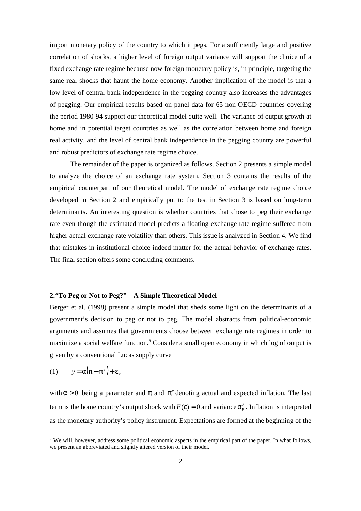import monetary policy of the country to which it pegs. For a sufficiently large and positive correlation of shocks, a higher level of foreign output variance will support the choice of a fixed exchange rate regime because now foreign monetary policy is, in principle, targeting the same real shocks that haunt the home economy. Another implication of the model is that a low level of central bank independence in the pegging country also increases the advantages of pegging. Our empirical results based on panel data for 65 non-OECD countries covering the period 1980-94 support our theoretical model quite well. The variance of output growth at home and in potential target countries as well as the correlation between home and foreign real activity, and the level of central bank independence in the pegging country are powerful and robust predictors of exchange rate regime choice.

The remainder of the paper is organized as follows. Section 2 presents a simple model to analyze the choice of an exchange rate system. Section 3 contains the results of the empirical counterpart of our theoretical model. The model of exchange rate regime choice developed in Section 2 and empirically put to the test in Section 3 is based on long-term determinants. An interesting question is whether countries that chose to peg their exchange rate even though the estimated model predicts a floating exchange rate regime suffered from higher actual exchange rate volatility than others. This issue is analyzed in Section 4. We find that mistakes in institutional choice indeed matter for the actual behavior of exchange rates. The final section offers some concluding comments.

# **2."To Peg or Not to Peg?" – A Simple Theoretical Model**

Berger et al. (1998) present a simple model that sheds some light on the determinants of a government's decision to peg or not to peg. The model abstracts from political-economic arguments and assumes that governments choose between exchange rate regimes in order to maximize a social welfare function.<sup>5</sup> Consider a small open economy in which log of output is given by a conventional Lucas supply curve

$$
(1) \qquad y = \alpha \big( \pi - \pi^e \big) + \varepsilon \,,
$$

with  $\alpha > 0$  being a parameter and  $\pi$  and  $\pi^e$  denoting actual and expected inflation. The last term is the home country's output shock with  $E(\varepsilon) = 0$  and variance  $\sigma_{\varepsilon}^2$ . Inflation is interpreted as the monetary authority's policy instrument. Expectations are formed at the beginning of the

<sup>&</sup>lt;sup>5</sup> We will, however, address some political economic aspects in the empirical part of the paper. In what follows, we present an abbreviated and slightly altered version of their model.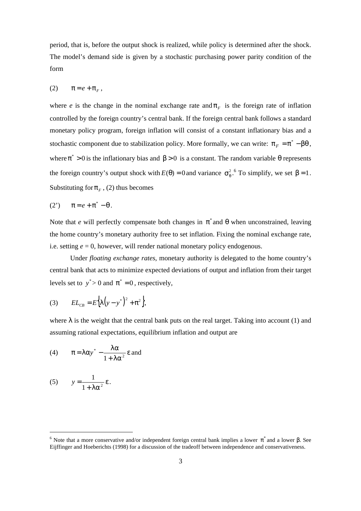period, that is, before the output shock is realized, while policy is determined after the shock. The model's demand side is given by a stochastic purchasing power parity condition of the form

$$
(2) \qquad \pi = e + \pi_F,
$$

where *e* is the change in the nominal exchange rate and  $\pi_F$  is the foreign rate of inflation controlled by the foreign country's central bank. If the foreign central bank follows a standard monetary policy program, foreign inflation will consist of a constant inflationary bias and a stochastic component due to stabilization policy. More formally, we can write:  $\pi_F = \pi^* - \beta \theta$ , where  $\pi^* > 0$  is the inflationary bias and  $\beta > 0$  is a constant. The random variable  $\theta$  represents the foreign country's output shock with  $E(\theta) = 0$  and variance  $\sigma_{\theta}^2$ . To simplify, we set  $\beta = 1$ . Substituting for  $\pi_F$ , (2) thus becomes

$$
(2') \qquad \pi = e + \pi^* - \theta \, .
$$

Note that *e* will perfectly compensate both changes in  $\pi^*$  and  $\theta$  when unconstrained, leaving the home country's monetary authority free to set inflation. Fixing the nominal exchange rate, i.e. setting *e* = 0, however, will render national monetary policy endogenous.

Under *floating exchange rates*, monetary authority is delegated to the home country's central bank that acts to minimize expected deviations of output and inflation from their target levels set to  $y^* > 0$  and  $\pi^* = 0$ , respectively,

(3) 
$$
EL_{CB} = E\{\lambda(y - y^*)^2 + \pi^2\},\
$$

where  $\lambda$  is the weight that the central bank puts on the real target. Taking into account (1) and assuming rational expectations, equilibrium inflation and output are

(4) 
$$
\pi = \lambda \alpha y^* - \frac{\lambda \alpha}{1 + \lambda \alpha^2} \epsilon
$$
 and

(5) 
$$
y = \frac{1}{1 + \lambda \alpha^2} \varepsilon.
$$

<sup>&</sup>lt;sup>6</sup> Note that a more conservative and/or independent foreign central bank implies a lower π<sup>\*</sup> and a lower β. See Eijffinger and Hoeberichts (1998) for a discussion of the tradeoff between independence and conservativeness.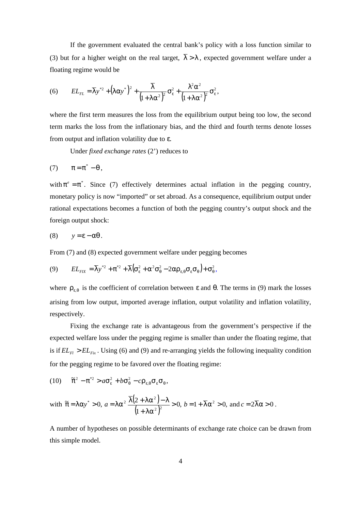If the government evaluated the central bank's policy with a loss function similar to (3) but for a higher weight on the real target,  $\overline{\lambda} > \lambda$ , expected government welfare under a floating regime would be

(6) 
$$
EL_{FL} = \overline{\lambda} y^{*2} + (\lambda \alpha y^*)^2 + \frac{\overline{\lambda}}{(1 + \lambda \alpha^2)^2} \sigma_{\varepsilon}^2 + \frac{\lambda^2 \alpha^2}{(1 + \lambda \alpha^2)^2} \sigma_{\varepsilon}^2,
$$

where the first term measures the loss from the equilibrium output being too low, the second term marks the loss from the inflationary bias, and the third and fourth terms denote losses from output and inflation volatility due to ε.

Under *fixed exchange rates* (2') reduces to

$$
(7) \qquad \pi = \pi^* - \theta \ ,
$$

with  $\pi^e = \pi^*$ . Since (7) effectively determines actual inflation in the pegging country, monetary policy is now "imported" or set abroad. As a consequence, equilibrium output under rational expectations becomes a function of both the pegging country's output shock and the foreign output shock:

$$
(8) \qquad y = \varepsilon - \alpha \theta \, .
$$

From (7) and (8) expected government welfare under pegging becomes

$$
(9) \qquad EL_{FK} = \overline{\lambda} y^{*2} + \pi^{*2} + \overline{\lambda} (\sigma_{\varepsilon}^2 + \alpha^2 \sigma_{\theta}^2 - 2\alpha \rho_{\varepsilon, \theta} \sigma_{\varepsilon} \sigma_{\theta}) + \sigma_{\theta}^2,
$$

where  $\rho_{\varepsilon,\theta}$  is the coefficient of correlation between  $\varepsilon$  and  $\theta$ . The terms in (9) mark the losses arising from low output, imported average inflation, output volatility and inflation volatility, respectively.

Fixing the exchange rate is advantageous from the government's perspective if the expected welfare loss under the pegging regime is smaller than under the floating regime, that is if  $EL_{F1} > EL_{Fix}$ . Using (6) and (9) and re-arranging yields the following inequality condition for the pegging regime to be favored over the floating regime:

(10) 
$$
\tilde{\pi}^2 - \pi^{*2} > a\sigma_{\varepsilon}^2 + b\sigma_{\theta}^2 - c\rho_{\varepsilon,\theta}\sigma_{\varepsilon}\sigma_{\theta},
$$

with 
$$
\tilde{\pi} = \lambda \alpha y^* > 0
$$
,  $a = \lambda \alpha^2 \frac{\overline{\lambda} (2 + \lambda \alpha^2) - \lambda}{(1 + \lambda \alpha^2)^2} > 0$ ,  $b = 1 + \overline{\lambda} \alpha^2 > 0$ , and  $c = 2\overline{\lambda} \alpha > 0$ .

A number of hypotheses on possible determinants of exchange rate choice can be drawn from this simple model.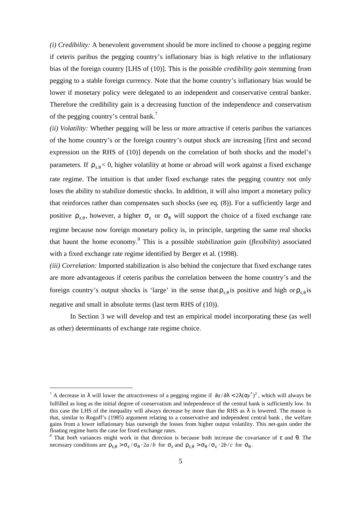*(i) Credibility:* A benevolent government should be more inclined to choose a pegging regime if ceteris paribus the pegging country's inflationary bias is high relative to the inflationary bias of the foreign country [LHS of (10)]. This is the possible *credibility gain* stemming from pegging to a stable foreign currency. Note that the home country's inflationary bias would be lower if monetary policy were delegated to an independent and conservative central banker. Therefore the credibility gain is a decreasing function of the independence and conservatism of the pegging country's central bank.<sup>7</sup>

*(ii) Volatility:* Whether pegging will be less or more attractive if ceteris paribus the variances of the home country's or the foreign country's output shock are increasing [first and second expression on the RHS of (10)] depends on the correlation of both shocks and the model's parameters. If  $\rho_{\varepsilon,\theta}$  < 0, higher volatility at home or abroad will work against a fixed exchange rate regime. The intuition is that under fixed exchange rates the pegging country not only loses the ability to stabilize domestic shocks. In addition, it will also import a monetary policy that reinforces rather than compensates such shocks (see eq. (8)). For a sufficiently large and positive  $\rho_{\varepsilon,\theta}$ , however, a higher  $\sigma_{\varepsilon}$  or  $\sigma_{\theta}$  will support the choice of a fixed exchange rate regime because now foreign monetary policy is, in principle, targeting the same real shocks that haunt the home economy.<sup>8</sup> This is a possible *stabilization gain* (*flexibility*) associated with a fixed exchange rate regime identified by Berger et al. (1998).

*(iii) Correlation:* Imported stabilization is also behind the conjecture that fixed exchange rates are more advantageous if ceteris paribus the correlation between the home country's and the foreign country's output shocks is 'large' in the sense that  $\rho_{\varepsilon,\theta}$  is positive and high or  $\rho_{\varepsilon,\theta}$  is negative and small in absolute terms (last term RHS of (10)).

In Section 3 we will develop and test an empirical model incorporating these (as well as other) determinants of exchange rate regime choice.

<sup>&</sup>lt;sup>7</sup> A decrease in  $\lambda$  will lower the attractiveness of a pegging regime if  $\partial a/\partial \lambda < 2\lambda (\alpha y^*)^2$ , which will always be fulfilled as long as the initial degree of conservatism and independence of the central bank is sufficiently low. In this case the LHS of the inequality will always decrease by more than the RHS as  $\lambda$  is lowered. The reason is that, similar to Rogoff's (1985) argument relating to a conservative and independent central bank , the welfare gains from a lower inflationary bias outweigh the losses from higher output volatility. This net-gain under the floating regime hurts the case for fixed exchange rates.

<sup>8</sup> That *both* variances might work in that direction is because both increase the covariance of ε and θ. The necessary conditions are  $\rho_{\varepsilon,\theta} > \sigma_{\varepsilon} / \sigma_{\theta} \cdot 2a/b$  for  $\sigma_{\varepsilon}$  and  $\rho_{\varepsilon,\theta} > \sigma_{\theta} / \sigma_{\varepsilon} \cdot 2b/c$  for  $\sigma_{\theta}$ .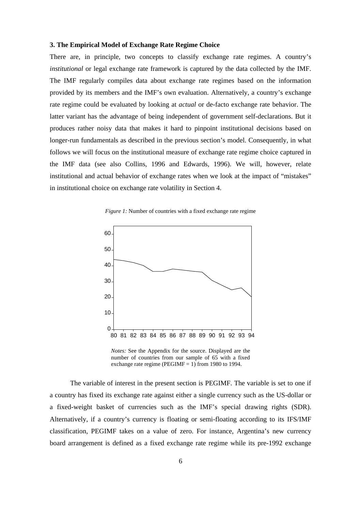# **3. The Empirical Model of Exchange Rate Regime Choice**

There are, in principle, two concepts to classify exchange rate regimes. A country's *institutional* or legal exchange rate framework is captured by the data collected by the IMF. The IMF regularly compiles data about exchange rate regimes based on the information provided by its members and the IMF's own evaluation. Alternatively, a country's exchange rate regime could be evaluated by looking at *actual* or de-facto exchange rate behavior. The latter variant has the advantage of being independent of government self-declarations. But it produces rather noisy data that makes it hard to pinpoint institutional decisions based on longer-run fundamentals as described in the previous section's model. Consequently, in what follows we will focus on the institutional measure of exchange rate regime choice captured in the IMF data (see also Collins, 1996 and Edwards, 1996). We will, however, relate institutional and actual behavior of exchange rates when we look at the impact of "mistakes" in institutional choice on exchange rate volatility in Section 4.

*Figure 1:* Number of countries with a fixed exchange rate regime



*Notes:* See the Appendix for the source. Displayed are the number of countries from our sample of 65 with a fixed exchange rate regime (PEGIMF  $=$  1) from 1980 to 1994.

The variable of interest in the present section is PEGIMF. The variable is set to one if a country has fixed its exchange rate against either a single currency such as the US-dollar or a fixed-weight basket of currencies such as the IMF's special drawing rights (SDR). Alternatively, if a country's currency is floating or semi-floating according to its IFS/IMF classification, PEGIMF takes on a value of zero. For instance, Argentina's new currency board arrangement is defined as a fixed exchange rate regime while its pre-1992 exchange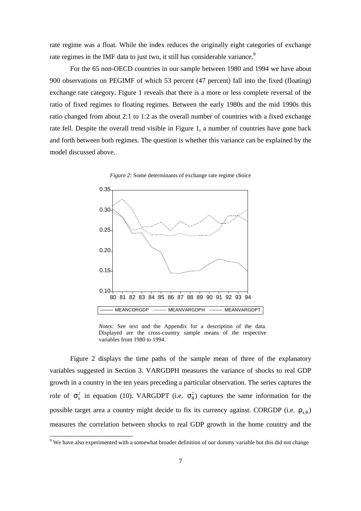rate regime was a float. While the index reduces the originally eight categories of exchange rate regimes in the IMF data to just two, it still has considerable variance.<sup>9</sup>

For the 65 non-OECD countries in our sample between 1980 and 1994 we have about 900 observations on PEGIMF of which 53 percent (47 percent) fall into the fixed (floating) exchange rate category. Figure 1 reveals that there is a more or less complete reversal of the ratio of fixed regimes to floating regimes. Between the early 1980s and the mid 1990s this ratio changed from about 2:1 to 1:2 as the overall number of countries with a fixed exchange rate fell. Despite the overall trend visible in Figure 1, a number of countries have gone back and forth between both regimes. The question is whether this variance can be explained by the model discussed above.





*Notes:* See text and the Appendix for a description of the data. Displayed are the cross-country sample means of the respective variables from 1980 to 1994.

Figure 2 displays the time paths of the sample mean of three of the explanatory variables suggested in Section 3. VARGDPH measures the variance of shocks to real GDP growth in a country in the ten years preceding a particular observation. The series captures the role of  $\sigma_{\varepsilon}^2$  in equation (10). VARGDPT (i.e.  $\sigma_{\theta}^2$ ) captures the same information for the possible target area a country might decide to fix its currency against. CORGDP (i.e.  $\rho_{\varepsilon,\theta}$ ) measures the correlation between shocks to real GDP growth in the home country and the

We have also experimented with a somewhat broader definition of our dummy variable but this did not change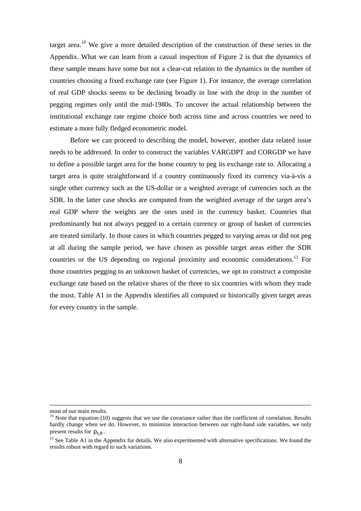target area.<sup>10</sup> We give a more detailed description of the construction of these series in the Appendix. What we can learn from a casual inspection of Figure 2 is that the dynamics of these sample means have some but not a clear-cut relation to the dynamics in the number of countries choosing a fixed exchange rate (see Figure 1). For instance, the average correlation of real GDP shocks seems to be declining broadly in line with the drop in the number of pegging regimes only until the mid-1980s. To uncover the actual relationship between the institutional exchange rate regime choice both across time and across countries we need to estimate a more fully fledged econometric model.

Before we can proceed to describing the model, however, another data related issue needs to be addressed. In order to construct the variables VARGDPT and CORGDP we have to define a possible target area for the home country to peg its exchange rate to. Allocating a target area is quite straightforward if a country continuously fixed its currency via-à-vis a single other currency such as the US-dollar or a weighted average of currencies such as the SDR. In the latter case shocks are computed from the weighted average of the target area's real GDP where the weights are the ones used in the currency basket. Countries that predominantly but not always pegged to a certain currency or group of basket of currencies are treated similarly. In those cases in which countries pegged to varying areas or did not peg at all during the sample period, we have chosen as possible target areas either the SDR countries or the US depending on regional proximity and economic considerations.<sup>11</sup> For those countries pegging to an unknown basket of currencies, we opt to construct a composite exchange rate based on the relative shares of the three to six countries with whom they trade the most. Table A1 in the Appendix identifies all computed or historically given target areas for every country in the sample.

most of our main results.

 $10$  Note that equation (10) suggests that we use the covariance rather than the coefficient of correlation. Results hardly change when we do. However, to minimize interaction between our right-hand side variables, we only present results for  $\rho_{\varepsilon,\theta}$ .

 $11$  See Table A1 in the Appendix for details. We also experimented with alternative specifications. We found the results robust with regard to such variations.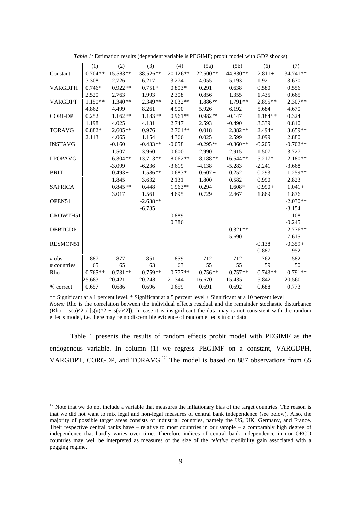|                    | (1)        | (2)        | (3)         | (4)        | (5a)       | (5b)        | (6)       | (7)         |
|--------------------|------------|------------|-------------|------------|------------|-------------|-----------|-------------|
| Constant           | $-0.704**$ | 15.583**   | 38.526**    | $20.126**$ | 22.500**   | 44.830**    | $12.811+$ | 34.741**    |
|                    | $-3.308$   | 2.726      | 6.217       | 3.274      | 4.055      | 5.193       | 1.921     | 3.670       |
| <b>VARGDPH</b>     | $0.746*$   | $0.922**$  | $0.751*$    | $0.803*$   | 0.291      | 0.638       | 0.580     | 0.556       |
|                    | 2.520      | 2.763      | 1.993       | 2.308      | 0.856      | 1.355       | 1.435     | 0.665       |
| <b>VARGDPT</b>     | $1.150**$  | $1.340**$  | $2.349**$   | $2.032**$  | 1.886**    | $1.791**$   | $2.895**$ | $2.307**$   |
|                    | 4.862      | 4.499      | 8.261       | 4.900      | 5.926      | 6.192       | 5.684     | 4.670       |
| <b>CORGDP</b>      | 0.252      | $1.162**$  | $1.183**$   | $0.961**$  | $0.982**$  | $-0.147$    | 1.184**   | 0.324       |
|                    | 1.198      | 4.025      | 4.131       | 2.747      | 2.593      | $-0.490$    | 3.339     | 0.810       |
| <b>TORAVG</b>      | $0.882*$   | $2.605**$  | 0.976       | $2.761**$  | 0.018      | $2.382**$   | 2.494*    | $3.659**$   |
|                    | 2.113      | 4.065      | 1.154       | 4.366      | 0.025      | 2.599       | 2.099     | 2.880       |
| <b>INSTAVG</b>     |            | $-0.160$   | $-0.433**$  | $-0.058$   | $-0.295**$ | $-0.360**$  | $-0.205$  | $-0.702**$  |
|                    |            | $-1.507$   | $-3.960$    | $-0.600$   | $-2.990$   | $-2.915$    | $-1.507$  | $-3.727$    |
| <b>LPOPAVG</b>     |            | $-6.304**$ | $-13.713**$ | $-8.062**$ | $-8.188**$ | $-16.544**$ | $-5.217*$ | $-12.180**$ |
|                    |            | $-3.099$   | $-6.236$    | $-3.619$   | $-4.138$   | $-5.283$    | $-2.241$  | $-3.668$    |
| <b>BRIT</b>        |            | $0.493+$   | $1.586**$   | $0.683*$   | $0.607 +$  | 0.252       | 0.293     | $1.259**$   |
|                    |            | 1.845      | 3.632       | 2.131      | 1.800      | 0.582       | 0.990     | 2.823       |
| <b>SAFRICA</b>     |            | $0.845**$  | $0.448+$    | $1.963**$  | 0.294      | $1.608*$    | $0.990+$  | $1.041 +$   |
|                    |            | 3.017      | 1.561       | 4.695      | 0.729      | 2.467       | 1.869     | 1.876       |
| OPEN <sub>51</sub> |            |            | $-2.638**$  |            |            |             |           | $-2.030**$  |
|                    |            |            | $-6.735$    |            |            |             |           | $-3.154$    |
| GROWTH51           |            |            |             | 0.889      |            |             |           | $-1.108$    |
|                    |            |            |             | 0.386      |            |             |           | $-0.245$    |
| DEBTGDP1           |            |            |             |            |            | $-0.321**$  |           | $-2.776**$  |
|                    |            |            |             |            |            | $-5.690$    |           | $-7.615$    |
| RESMON51           |            |            |             |            |            |             | $-0.138$  | $-0.359+$   |
|                    |            |            |             |            |            |             | $-0.887$  | $-1.952$    |
| $#$ obs            | 887        | 877        | 851         | 859        | 712        | 712         | 762       | 582         |
| # countries        | 65         | 65         | 63          | 63         | 55         | 55          | 59        | 50          |
| Rho                | $0.765**$  | $0.731**$  | $0.759**$   | $0.777**$  | $0.756**$  | $0.757**$   | $0.743**$ | $0.791**$   |
|                    | 25.683     | 20.421     | 20.248      | 21.344     | 16.670     | 15.435      | 15.842    | 20.560      |
| % correct          | 0.657      | 0.686      | 0.696       | 0.659      | 0.691      | 0.692       | 0.688     | 0.773       |

*Table 1:* Estimation results (dependent variable is PEGIMF; probit model with GDP shocks)

\*\* Significant at a 1 percent level. \* Significant at a 5 percent level + Significant at a 10 percent level *Notes:* Rho is the correlation between the individual effects residual and the remainder stochastic disturbance  $(Rho = s(u)^2 / [s(u)^2 + s(v)^2])$ . In case it is insignificant the data may is not consistent with the random effects model, i.e. there may be no discernible evidence of random effects in our data.

Table 1 presents the results of random effects probit model with PEGIMF as the endogenous variable. In column (1) we regress PEGIMF on a constant, VARGDPH, VARGDPT, CORGDP, and TORAVG.<sup>12</sup> The model is based on 887 observations from 65

-

 $12$  Note that we do not include a variable that measures the inflationary bias of the target countries. The reason is that we did not want to mix legal and non-legal measures of central bank independence (see below). Also, the majority of possible target areas consists of industrial countries, namely the US, UK, Germany, and France. Their respective central banks have – relative to most countries in our sample – a comparably high degree of independence that hardly varies over time. Therefore indices of central bank independence in non-OECD countries may well be interpreted as measures of the size of the *relative* credibility gain associated with a pegging regime.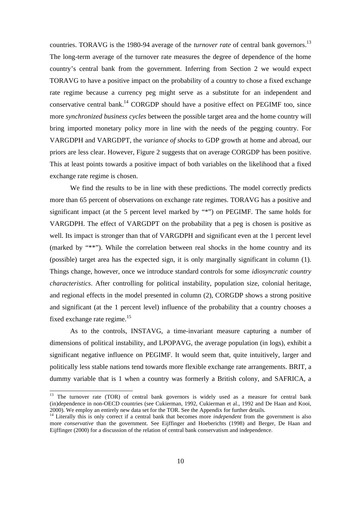countries. TORAVG is the 1980-94 average of the *turnover rate* of central bank governors.<sup>13</sup> The long-term average of the turnover rate measures the degree of dependence of the home country's central bank from the government. Inferring from Section 2 we would expect TORAVG to have a positive impact on the probability of a country to chose a fixed exchange rate regime because a currency peg might serve as a substitute for an independent and conservative central bank.<sup>14</sup> CORGDP should have a positive effect on PEGIMF too, since more *synchronized business cycles* between the possible target area and the home country will bring imported monetary policy more in line with the needs of the pegging country. For VARGDPH and VARGDPT, the *variance of shocks* to GDP growth at home and abroad, our priors are less clear. However, Figure 2 suggests that on average CORGDP has been positive. This at least points towards a positive impact of both variables on the likelihood that a fixed exchange rate regime is chosen.

We find the results to be in line with these predictions. The model correctly predicts more than 65 percent of observations on exchange rate regimes. TORAVG has a positive and significant impact (at the 5 percent level marked by "\*") on PEGIMF. The same holds for VARGDPH. The effect of VARGDPT on the probability that a peg is chosen is positive as well. Its impact is stronger than that of VARGDPH and significant even at the 1 percent level (marked by "\*\*"). While the correlation between real shocks in the home country and its (possible) target area has the expected sign, it is only marginally significant in column (1). Things change, however, once we introduce standard controls for some *idiosyncratic country characteristics*. After controlling for political instability, population size, colonial heritage, and regional effects in the model presented in column (2), CORGDP shows a strong positive and significant (at the 1 percent level) influence of the probability that a country chooses a fixed exchange rate regime. $15$ 

As to the controls, INSTAVG, a time-invariant measure capturing a number of dimensions of political instability, and LPOPAVG, the average population (in logs), exhibit a significant negative influence on PEGIMF. It would seem that, quite intuitively, larger and politically less stable nations tend towards more flexible exchange rate arrangements. BRIT, a dummy variable that is 1 when a country was formerly a British colony, and SAFRICA, a

<sup>&</sup>lt;sup>13</sup> The turnover rate (TOR) of central bank governors is widely used as a measure for central bank (in)dependence in non-OECD countries (see Cukierman, 1992, Cukierman et al., 1992 and De Haan and Kooi, 2000). We employ an entirely new data set for the TOR. See the Appendix for further details.

<sup>&</sup>lt;sup>14</sup> Literally this is only correct if a central bank that becomes more *independent* from the government is also more *conservative* than the government. See Eijffinger and Hoeberichts (1998) and Berger, De Haan and Eijffinger (2000) for a discussion of the relation of central bank conservatism and independence.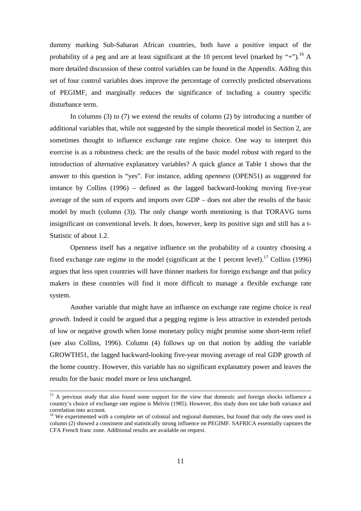dummy marking Sub-Saharan African countries, both have a positive impact of the probability of a peg and are at least significant at the 10 percent level (marked by "+").<sup>16</sup> A more detailed discussion of these control variables can be found in the Appendix. Adding this set of four control variables does improve the percentage of correctly predicted observations of PEGIMF, and marginally reduces the significance of including a country specific disturbance term.

In columns (3) to (7) we extend the results of column (2) by introducing a number of additional variables that, while not suggested by the simple theoretical model in Section 2, are sometimes thought to influence exchange rate regime choice. One way to interpret this exercise is as a robustness check: are the results of the basic model robust with regard to the introduction of alternative explanatory variables? A quick glance at Table 1 shows that the answer to this question is "yes". For instance, adding *openness* (OPEN51) as suggested for instance by Collins (1996) – defined as the lagged backward-looking moving five-year average of the sum of exports and imports over GDP – does not alter the results of the basic model by much (column (3)). The only change worth mentioning is that TORAVG turns insignificant on conventional levels. It does, however, keep its positive sign and still has a t-Statistic of about 1.2.

Openness itself has a negative influence on the probability of a country choosing a fixed exchange rate regime in the model (significant at the 1 percent level).<sup>17</sup> Collins (1996) argues that less open countries will have thinner markets for foreign exchange and that policy makers in these countries will find it more difficult to manage a flexible exchange rate system.

Another variable that might have an influence on exchange rate regime choice is *real growth*. Indeed it could be argued that a pegging regime is less attractive in extended periods of low or negative growth when loose monetary policy might promise some short-term relief (see also Collins, 1996). Column (4) follows up on that notion by adding the variable GROWTH51, the lagged backward-looking five-year moving average of real GDP growth of the home country. However, this variable has no significant explanatory power and leaves the results for the basic model more or less unchanged.

<sup>&</sup>lt;sup>15</sup> A previous study that also found some support for the view that domestic and foreign shocks influence a country's choice of exchange rate regime is Melvin (1985). However, this study does not take both variance and correlation into account.

<sup>&</sup>lt;sup>16</sup> We experimented with a complete set of colonial and regional dummies, but found that only the ones used in column (2) showed a consistent and statistically strong influence on PEGIMF. SAFRICA essentially captures the CFA French franc zone. Additional results are available on request.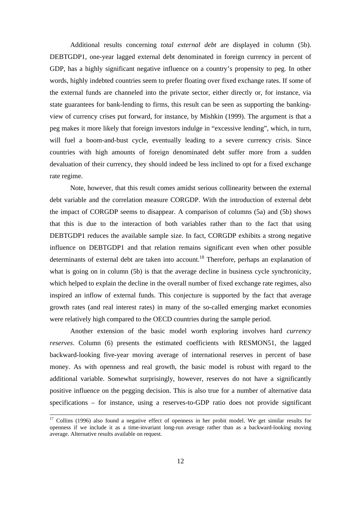Additional results concerning *total external debt* are displayed in column (5b). DEBTGDP1, one-year lagged external debt denominated in foreign currency in percent of GDP, has a highly significant negative influence on a country's propensity to peg. In other words, highly indebted countries seem to prefer floating over fixed exchange rates. If some of the external funds are channeled into the private sector, either directly or, for instance, via state guarantees for bank-lending to firms, this result can be seen as supporting the bankingview of currency crises put forward, for instance, by Mishkin (1999). The argument is that a peg makes it more likely that foreign investors indulge in "excessive lending", which, in turn, will fuel a boom-and-bust cycle, eventually leading to a severe currency crisis. Since countries with high amounts of foreign denominated debt suffer more from a sudden devaluation of their currency, they should indeed be less inclined to opt for a fixed exchange rate regime.

Note, however, that this result comes amidst serious collinearity between the external debt variable and the correlation measure CORGDP. With the introduction of external debt the impact of CORGDP seems to disappear. A comparison of columns (5a) and (5b) shows that this is due to the interaction of both variables rather than to the fact that using DEBTGDP1 reduces the available sample size. In fact, CORGDP exhibits a strong negative influence on DEBTGDP1 and that relation remains significant even when other possible determinants of external debt are taken into account.<sup>18</sup> Therefore, perhaps an explanation of what is going on in column (5b) is that the average decline in business cycle synchronicity, which helped to explain the decline in the overall number of fixed exchange rate regimes, also inspired an inflow of external funds. This conjecture is supported by the fact that average growth rates (and real interest rates) in many of the so-called emerging market economies were relatively high compared to the OECD countries during the sample period.

Another extension of the basic model worth exploring involves hard *currency reserves*. Column (6) presents the estimated coefficients with RESMON51, the lagged backward-looking five-year moving average of international reserves in percent of base money. As with openness and real growth, the basic model is robust with regard to the additional variable. Somewhat surprisingly, however, reserves do not have a significantly positive influence on the pegging decision. This is also true for a number of alternative data specifications – for instance, using a reserves-to-GDP ratio does not provide significant

<sup>&</sup>lt;sup>17</sup> Collins (1996) also found a negative effect of openness in her probit model. We get similar results for openness if we include it as a time-invariant long-run average rather than as a backward-looking moving average. Alternative results available on request.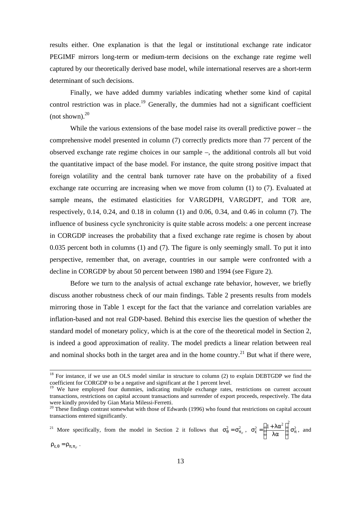results either. One explanation is that the legal or institutional exchange rate indicator PEGIMF mirrors long-term or medium-term decisions on the exchange rate regime well captured by our theoretically derived base model, while international reserves are a short-term determinant of such decisions.

Finally, we have added dummy variables indicating whether some kind of capital control restriction was in place.<sup>19</sup> Generally, the dummies had not a significant coefficient (not shown). $^{20}$ 

While the various extensions of the base model raise its overall predictive power – the comprehensive model presented in column (7) correctly predicts more than 77 percent of the observed exchange rate regime choices in our sample –, the additional controls all but void the quantitative impact of the base model. For instance, the quite strong positive impact that foreign volatility and the central bank turnover rate have on the probability of a fixed exchange rate occurring are increasing when we move from column (1) to (7). Evaluated at sample means, the estimated elasticities for VARGDPH, VARGDPT, and TOR are, respectively, 0.14, 0.24, and 0.18 in column (1) and 0.06, 0.34, and 0.46 in column (7). The influence of business cycle synchronicity is quite stable across models: a one percent increase in CORGDP increases the probability that a fixed exchange rate regime is chosen by about 0.035 percent both in columns (1) and (7). The figure is only seemingly small. To put it into perspective, remember that, on average, countries in our sample were confronted with a decline in CORGDP by about 50 percent between 1980 and 1994 (see Figure 2).

Before we turn to the analysis of actual exchange rate behavior, however, we briefly discuss another robustness check of our main findings. Table 2 presents results from models mirroring those in Table 1 except for the fact that the variance and correlation variables are inflation-based and not real GDP-based. Behind this exercise lies the question of whether the standard model of monetary policy, which is at the core of the theoretical model in Section 2, is indeed a good approximation of reality. The model predicts a linear relation between real and nominal shocks both in the target area and in the home country.<sup>21</sup> But what if there were,

<sup>21</sup> More specifically, from the model in Section 2 it follows that  $\sigma_{\theta}^2 = \sigma_{\pi_F}^2$ ,  $\sigma_{\epsilon}^2 = \left| \frac{1 + \lambda x}{\lambda \sigma} \right| \sigma_{\pi}^2$  $\alpha_{\varepsilon}^2 = \left(\frac{1+\lambda\alpha^2}{\lambda\alpha}\right)^2 \sigma_{\pi}^2$  $\overline{\phantom{a}}$  $\lambda$  $\overline{\phantom{a}}$ l ſ λα  $\sigma_{\epsilon}^2 = \left(\frac{1+\lambda\alpha^2}{2}\right) \sigma_{\pi}^2$ , and

 $\rho_{\varepsilon,\theta} = \rho_{\pi,\pi_F}$ .

-

 $18$  For instance, if we use an OLS model similar in structure to column (2) to explain DEBTGDP we find the coefficient for CORGDP to be a negative and significant at the 1 percent level.

<sup>&</sup>lt;sup>19</sup> We have employed four dummies, indicating multiple exchange rates, restrictions on current account transactions, restrictions on capital account transactions and surrender of export proceeds, respectively. The data were kindly provided by Gian Maria Milessi-Ferretti.

<sup>&</sup>lt;sup>20</sup> These findings contrast somewhat with those of Edwards (1996) who found that restrictions on capital account transactions entered significantly.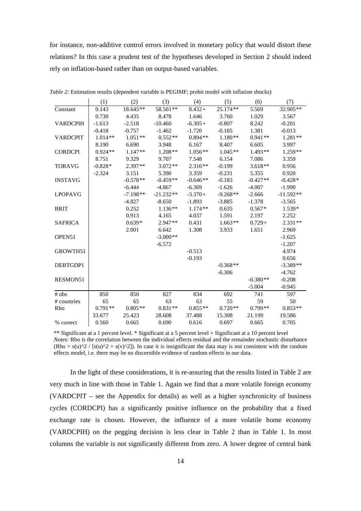for instance, non-additive control errors involved in monetary policy that would distort these relations? In this case a prudent test of the hypotheses developed in Section 2 should indeed rely on inflation-based rather than on output-based variables.

|                    | (1)       | (2)        | (3)         | (4)        | (5)        | (6)        | (7)         |
|--------------------|-----------|------------|-------------|------------|------------|------------|-------------|
| Constant           | 0.143     | $18.645**$ | 58.561**    | $8.432 +$  | $25.174**$ | 5.569      | 32.905**    |
|                    | 0.730     | 4.435      | 8.478       | 1.646      | 3.760      | 1.029      | 3.567       |
| <b>VARDCPIH</b>    | $-1.613$  | $-2.518$   | $-10.460$   | $-6.305+$  | $-0.807$   | 8.242      | $-0.201$    |
|                    | $-0.418$  | $-0.757$   | $-1.462$    | $-1.720$   | $-0.185$   | 1.381      | $-0.013$    |
| <b>VARDCPIT</b>    | $1.014**$ | $1.051**$  | $0.552**$   | $0.894**$  | $1.180**$  | $0.941**$  | $1.281**$   |
|                    | 8.190     | 6.690      | 3.948       | 6.167      | 8.407      | 6.605      | 3.997       |
| <b>CORDCPI</b>     | $0.924**$ | $1.147**$  | $1.208**$   | $1.056**$  | $1.045**$  | $1.493**$  | $1.259**$   |
|                    | 8.751     | 9.329      | 9.707       | 7.548      | 6.154      | 7.086      | 3.359       |
| <b>TORAVG</b>      | $-0.828*$ | $2.397**$  | $3.072**$   | $2.316**$  | $-0.199$   | $3.618**$  | 0.956       |
|                    | $-2.324$  | 3.151      | 5.390       | 3.359      | $-0.231$   | 5.355      | 0.920       |
| <b>INSTAVG</b>     |           | $-0.578**$ | $-0.459**$  | $-0.646**$ | $-0.183$   | $-0.427**$ | $-0.428*$   |
|                    |           | $-6.444$   | $-4.867$    | $-6.369$   | $-1.626$   | $-4.007$   | $-1.990$    |
| <b>LPOPAVG</b>     |           | $-7.198**$ | $-21.232**$ | $-3.370+$  | $-9.268**$ | $-2.666$   | $-11.592**$ |
|                    |           | $-4.827$   | $-8.650$    | $-1.893$   | $-3.885$   | $-1.378$   | $-3.565$    |
| <b>BRIT</b>        |           | 0.252      | $1.136**$   | $1.174**$  | 0.635      | $0.567*$   | $1.539*$    |
|                    |           | 0.913      | 4.165       | 4.037      | 1.591      | 2.197      | 2.252       |
| <b>SAFRICA</b>     |           | $0.639*$   | $2.947**$   | 0.431      | $1.663**$  | $0.729+$   | $2.331**$   |
|                    |           | 2.001      | 6.642       | 1.308      | 3.933      | 1.651      | 2.969       |
| OPEN <sub>51</sub> |           |            | $-3.000**$  |            |            |            | $-1.625$    |
|                    |           |            | $-6.572$    |            |            |            | $-1.207$    |
| GROWTH51           |           |            |             | $-0.513$   |            |            | 4.974       |
|                    |           |            |             | $-0.193$   |            |            | 0.656       |
| DEBTGDP1           |           |            |             |            | $-0.368**$ |            | $-3.389**$  |
|                    |           |            |             |            | $-6.306$   |            | $-4.762$    |
| <b>RESMON51</b>    |           |            |             |            |            | $-0.380**$ | $-0.208$    |
|                    |           |            |             |            |            | $-5.004$   | $-0.945$    |
| # obs              | 850       | 850        | 827         | 834        | 692        | 741        | 597         |
| # countries        | 65        | 65         | 63          | 63         | 55         | 59         | 50          |
| Rho                | $0.791**$ | $0.805**$  | $0.831**$   | $0.855**$  | $0.720**$  | $0.799**$  | $0.853**$   |
|                    | 33.677    | 25.423     | 28.608      | 37.488     | 15.308     | 21.199     | 19.586      |
| % correct          | 0.560     | 0.665      | 0.690       | 0.616      | 0.697      | 0.665      | 0.705       |

*Table 2:* Estimation results (dependent variable is PEGIMF; probit model with inflation shocks)

\*\* Significant at a 1 percent level. \* Significant at a 5 percent level + Significant at a 10 percent level *Notes:* Rho is the correlation between the individual effects residual and the remainder stochastic disturbance  $(Rho = s(u)^2 / [s(u)^2 + s(v)^2]$ . In case it is insignificant the data may is not consistent with the random effects model, i.e. there may be no discernible evidence of random effects in our data.

In the light of these considerations, it is re-assuring that the results listed in Table 2 are very much in line with those in Table 1. Again we find that a more volatile foreign economy (VARDCPIT – see the Appendix for details) as well as a higher synchronicity of business cycles (CORDCPI) has a significantly positive influence on the probability that a fixed exchange rate is chosen. However, the influence of a more volatile home economy (VARDCPIH) on the pegging decision is less clear in Table 2 than in Table 1. In most columns the variable is not significantly different from zero. A lower degree of central bank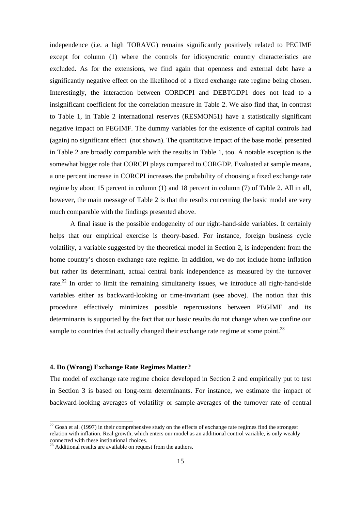independence (i.e. a high TORAVG) remains significantly positively related to PEGIMF except for column (1) where the controls for idiosyncratic country characteristics are excluded. As for the extensions, we find again that openness and external debt have a significantly negative effect on the likelihood of a fixed exchange rate regime being chosen. Interestingly, the interaction between CORDCPI and DEBTGDP1 does not lead to a insignificant coefficient for the correlation measure in Table 2. We also find that, in contrast to Table 1, in Table 2 international reserves (RESMON51) have a statistically significant negative impact on PEGIMF. The dummy variables for the existence of capital controls had (again) no significant effect (not shown). The quantitative impact of the base model presented in Table 2 are broadly comparable with the results in Table 1, too. A notable exception is the somewhat bigger role that CORCPI plays compared to CORGDP. Evaluated at sample means, a one percent increase in CORCPI increases the probability of choosing a fixed exchange rate regime by about 15 percent in column (1) and 18 percent in column (7) of Table 2. All in all, however, the main message of Table 2 is that the results concerning the basic model are very much comparable with the findings presented above.

A final issue is the possible endogeneity of our right-hand-side variables. It certainly helps that our empirical exercise is theory-based. For instance, foreign business cycle volatility, a variable suggested by the theoretical model in Section 2, is independent from the home country's chosen exchange rate regime. In addition, we do not include home inflation but rather its determinant, actual central bank independence as measured by the turnover rate.<sup>22</sup> In order to limit the remaining simultaneity issues, we introduce all right-hand-side variables either as backward-looking or time-invariant (see above). The notion that this procedure effectively minimizes possible repercussions between PEGIMF and its determinants is supported by the fact that our basic results do not change when we confine our sample to countries that actually changed their exchange rate regime at some point.<sup>23</sup>

### **4. Do (Wrong) Exchange Rate Regimes Matter?**

The model of exchange rate regime choice developed in Section 2 and empirically put to test in Section 3 is based on long-term determinants. For instance, we estimate the impact of backward-looking averages of volatility or sample-averages of the turnover rate of central

-

 $22$  Gosh et al. (1997) in their comprehensive study on the effects of exchange rate regimes find the strongest relation with inflation. Real growth, which enters our model as an additional control variable, is only weakly connected with these institutional choices.

 $2<sup>23</sup>$  Additional results are available on request from the authors.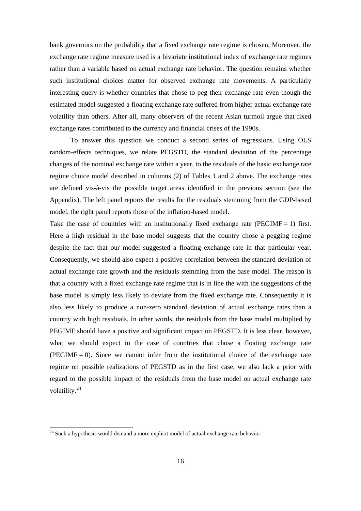bank governors on the probability that a fixed exchange rate regime is chosen. Moreover, the exchange rate regime measure used is a bivariate institutional index of exchange rate regimes rather than a variable based on actual exchange rate behavior. The question remains whether such institutional choices matter for observed exchange rate movements. A particularly interesting query is whether countries that chose to peg their exchange rate even though the estimated model suggested a floating exchange rate suffered from higher actual exchange rate volatility than others. After all, many observers of the recent Asian turmoil argue that fixed exchange rates contributed to the currency and financial crises of the 1990s.

To answer this question we conduct a second series of regressions. Using OLS random-effects techniques, we relate PEGSTD, the standard deviation of the percentage changes of the nominal exchange rate within a year, to the residuals of the basic exchange rate regime choice model described in columns (2) of Tables 1 and 2 above. The exchange rates are defined vis-à-vis the possible target areas identified in the previous section (see the Appendix). The left panel reports the results for the residuals stemming from the GDP-based model, the right panel reports those of the inflation-based model.

Take the case of countries with an institutionally fixed exchange rate (PEGIMF  $= 1$ ) first. Here a high residual in the base model suggests that the country chose a pegging regime despite the fact that our model suggested a floating exchange rate in that particular year. Consequently, we should also expect a positive correlation between the standard deviation of actual exchange rate growth and the residuals stemming from the base model. The reason is that a country with a fixed exchange rate regime that is in line the with the suggestions of the base model is simply less likely to deviate from the fixed exchange rate. Consequently it is also less likely to produce a non-zero standard deviation of actual exchange rates than a country with high residuals. In other words, the residuals from the base model multiplied by PEGIMF should have a positive and significant impact on PEGSTD. It is less clear, however, what we should expect in the case of countries that chose a floating exchange rate  $(PEGIMF = 0)$ . Since we cannot infer from the institutional choice of the exchange rate regime on possible realizations of PEGSTD as in the first case, we also lack a prior with regard to the possible impact of the residuals from the base model on actual exchange rate volatility.<sup>24</sup>

 $24$  Such a hypothesis would demand a more explicit model of actual exchange rate behavior.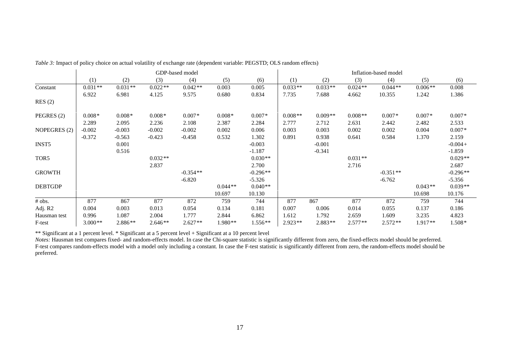|                | GDP-based model |           |           |            |           | Inflation-based model |           |           |           |            |           |            |
|----------------|-----------------|-----------|-----------|------------|-----------|-----------------------|-----------|-----------|-----------|------------|-----------|------------|
|                | (1)             | (2)       | (3)       | (4)        | (5)       | (6)                   | (1)       | (2)       | (3)       | (4)        | (5)       | (6)        |
| Constant       | $0.031**$       | $0.031**$ | $0.022**$ | $0.042**$  | 0.003     | 0.005                 | $0.033**$ | $0.033**$ | $0.024**$ | $0.044**$  | $0.006**$ | 0.008      |
|                | 6.922           | 6.981     | 4.125     | 9.575      | 0.680     | 0.834                 | 7.735     | 7.688     | 4.662     | 10.355     | 1.242     | 1.386      |
| RES(2)         |                 |           |           |            |           |                       |           |           |           |            |           |            |
| PEGRES (2)     | $0.008*$        | $0.008*$  | $0.008*$  | $0.007*$   | $0.008*$  | $0.007*$              | $0.008**$ | $0.009**$ | $0.008**$ | $0.007*$   | $0.007*$  | $0.007*$   |
|                | 2.289           | 2.095     | 2.236     | 2.108      | 2.387     | 2.284                 | 2.777     | 2.712     | 2.631     | 2.442      | 2.482     | 2.533      |
| NOPEGRES (2)   | $-0.002$        | $-0.003$  | $-0.002$  | $-0.002$   | 0.002     | 0.006                 | 0.003     | 0.003     | 0.002     | 0.002      | 0.004     | $0.007*$   |
|                | $-0.372$        | $-0.563$  | $-0.423$  | $-0.458$   | 0.532     | 1.302                 | 0.891     | 0.938     | 0.641     | 0.584      | 1.370     | 2.159      |
| <b>INST5</b>   |                 | 0.001     |           |            |           | $-0.003$              |           | $-0.001$  |           |            |           | $-0.004 +$ |
|                |                 | 0.516     |           |            |           | $-1.187$              |           | $-0.341$  |           |            |           | $-1.859$   |
| TOR5           |                 |           | $0.032**$ |            |           | $0.030**$             |           |           | $0.031**$ |            |           | $0.029**$  |
|                |                 |           | 2.837     |            |           | 2.700                 |           |           | 2.716     |            |           | 2.687      |
| <b>GROWTH</b>  |                 |           |           | $-0.354**$ |           | $-0.296**$            |           |           |           | $-0.351**$ |           | $-0.296**$ |
|                |                 |           |           | $-6.820$   |           | $-5.326$              |           |           |           | $-6.762$   |           | $-5.356$   |
| <b>DEBTGDP</b> |                 |           |           |            | $0.044**$ | $0.040**$             |           |           |           |            | $0.043**$ | $0.039**$  |
|                |                 |           |           |            | 10.697    | 10.130                |           |           |           |            | 10.698    | 10.176     |
| # obs.         | 877             | 867       | 877       | 872        | 759       | 744                   | 877       | 867       | 877       | 872        | 759       | 744        |
| Adj. R2        | 0.004           | 0.003     | 0.013     | 0.054      | 0.134     | 0.181                 | 0.007     | 0.006     | 0.014     | 0.055      | 0.137     | 0.186      |
| Hausman test   | 0.996           | 1.087     | 2.004     | 1.777      | 2.844     | 6.862                 | 1.612     | 1.792     | 2.659     | 1.609      | 3.235     | 4.823      |
| F-test         | $3.000**$       | 2.886**   | $2.646**$ | $2.627**$  | 1.980**   | $1.556**$             | $2.923**$ | $2.883**$ | $2.577**$ | $2.572**$  | $1.917**$ | 1.508*     |

*Table 3:* Impact of policy choice on actual volatility of exchange rate (dependent variable: PEGSTD; OLS random effects)

\*\* Significant at a 1 percent level. \* Significant at a 5 percent level + Significant at a 10 percent level

*Notes:* Hausman test compares fixed- and random-effects model. In case the Chi-square statistic is significantly different from zero, the fixed-effects model should be preferred. F-test compares random-effects model with a model only including a constant. In case the F-test statistic is significantly different from zero, the random-effects model should be preferred.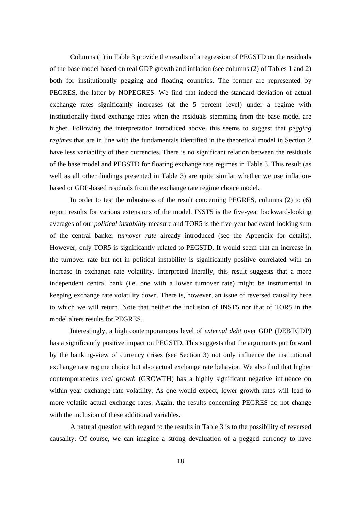Columns (1) in Table 3 provide the results of a regression of PEGSTD on the residuals of the base model based on real GDP growth and inflation (see columns (2) of Tables 1 and 2) both for institutionally pegging and floating countries. The former are represented by PEGRES, the latter by NOPEGRES. We find that indeed the standard deviation of actual exchange rates significantly increases (at the 5 percent level) under a regime with institutionally fixed exchange rates when the residuals stemming from the base model are higher. Following the interpretation introduced above, this seems to suggest that *pegging regimes* that are in line with the fundamentals identified in the theoretical model in Section 2 have less variability of their currencies. There is no significant relation between the residuals of the base model and PEGSTD for floating exchange rate regimes in Table 3. This result (as well as all other findings presented in Table 3) are quite similar whether we use inflationbased or GDP-based residuals from the exchange rate regime choice model.

In order to test the robustness of the result concerning PEGRES, columns (2) to (6) report results for various extensions of the model. INST5 is the five-year backward-looking averages of our *political instability* measure and TOR5 is the five-year backward-looking sum of the central banker *turnover rate* already introduced (see the Appendix for details). However, only TOR5 is significantly related to PEGSTD. It would seem that an increase in the turnover rate but not in political instability is significantly positive correlated with an increase in exchange rate volatility. Interpreted literally, this result suggests that a more independent central bank (i.e. one with a lower turnover rate) might be instrumental in keeping exchange rate volatility down. There is, however, an issue of reversed causality here to which we will return. Note that neither the inclusion of INST5 nor that of TOR5 in the model alters results for PEGRES.

Interestingly, a high contemporaneous level of *external debt* over GDP (DEBTGDP) has a significantly positive impact on PEGSTD. This suggests that the arguments put forward by the banking-view of currency crises (see Section 3) not only influence the institutional exchange rate regime choice but also actual exchange rate behavior. We also find that higher contemporaneous *real growth* (GROWTH) has a highly significant negative influence on within-year exchange rate volatility. As one would expect, lower growth rates will lead to more volatile actual exchange rates. Again, the results concerning PEGRES do not change with the inclusion of these additional variables.

A natural question with regard to the results in Table 3 is to the possibility of reversed causality. Of course, we can imagine a strong devaluation of a pegged currency to have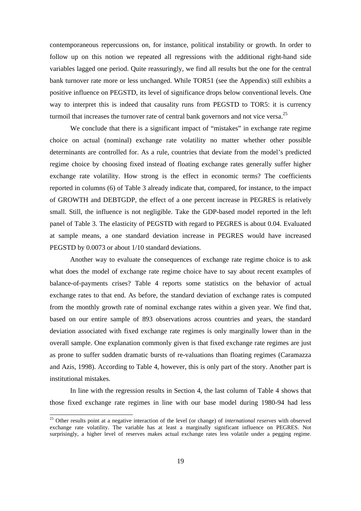contemporaneous repercussions on, for instance, political instability or growth. In order to follow up on this notion we repeated all regressions with the additional right-hand side variables lagged one period. Quite reassuringly, we find all results but the one for the central bank turnover rate more or less unchanged. While TOR51 (see the Appendix) still exhibits a positive influence on PEGSTD, its level of significance drops below conventional levels. One way to interpret this is indeed that causality runs from PEGSTD to TOR5: it is currency turmoil that increases the turnover rate of central bank governors and not vice versa.<sup>25</sup>

We conclude that there is a significant impact of "mistakes" in exchange rate regime choice on actual (nominal) exchange rate volatility no matter whether other possible determinants are controlled for. As a rule, countries that deviate from the model's predicted regime choice by choosing fixed instead of floating exchange rates generally suffer higher exchange rate volatility. How strong is the effect in economic terms? The coefficients reported in columns (6) of Table 3 already indicate that, compared, for instance, to the impact of GROWTH and DEBTGDP, the effect of a one percent increase in PEGRES is relatively small. Still, the influence is not negligible. Take the GDP-based model reported in the left panel of Table 3. The elasticity of PEGSTD with regard to PEGRES is about 0.04. Evaluated at sample means, a one standard deviation increase in PEGRES would have increased PEGSTD by 0.0073 or about 1/10 standard deviations.

Another way to evaluate the consequences of exchange rate regime choice is to ask what does the model of exchange rate regime choice have to say about recent examples of balance-of-payments crises? Table 4 reports some statistics on the behavior of actual exchange rates to that end. As before, the standard deviation of exchange rates is computed from the monthly growth rate of nominal exchange rates within a given year. We find that, based on our entire sample of 893 observations across countries and years, the standard deviation associated with fixed exchange rate regimes is only marginally lower than in the overall sample. One explanation commonly given is that fixed exchange rate regimes are just as prone to suffer sudden dramatic bursts of re-valuations than floating regimes (Caramazza and Azis, 1998). According to Table 4, however, this is only part of the story. Another part is institutional mistakes.

In line with the regression results in Section 4, the last column of Table 4 shows that those fixed exchange rate regimes in line with our base model during 1980-94 had less

<sup>25</sup> Other results point at a negative interaction of the level (or change) of *international reserves* with observed exchange rate volatility. The variable has at least a marginally significant influence on PEGRES. Not surprisingly, a higher level of reserves makes actual exchange rates less volatile under a pegging regime.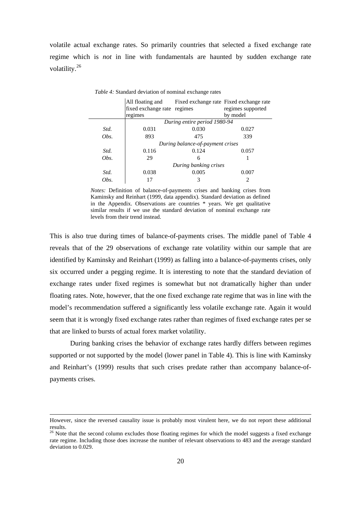volatile actual exchange rates. So primarily countries that selected a fixed exchange rate regime which is *not* in line with fundamentals are haunted by sudden exchange rate volatility.<sup>26</sup>

|      | All floating and<br>fixed exchange rate regimes |                                  | Fixed exchange rate Fixed exchange rate<br>regimes supported |  |
|------|-------------------------------------------------|----------------------------------|--------------------------------------------------------------|--|
|      | regimes                                         |                                  | by model                                                     |  |
|      |                                                 | During entire period 1980-94     |                                                              |  |
| Std. | 0.031                                           | 0.030                            | 0.027                                                        |  |
| Obs. | 893                                             | 475                              | 339                                                          |  |
|      |                                                 | During balance-of-payment crises |                                                              |  |
| Std. | 0.116                                           | 0.124                            | 0.057                                                        |  |
| Obs. | 29                                              | 6                                |                                                              |  |
|      |                                                 | During banking crises            |                                                              |  |
| Std. | 0.038                                           | 0.005                            | 0.007                                                        |  |
| Obs. |                                                 | 3                                | 2                                                            |  |

*Table 4:* Standard deviation of nominal exchange rates

*Notes:* Definition of balance-of-payments crises and banking crises from Kaminsky and Reinhart (1999, data appendix). Standard deviation as defined in the Appendix. Observations are countries \* years. We get qualitative similar results if we use the standard deviation of nominal exchange rate levels from their trend instead.

This is also true during times of balance-of-payments crises. The middle panel of Table 4 reveals that of the 29 observations of exchange rate volatility within our sample that are identified by Kaminsky and Reinhart (1999) as falling into a balance-of-payments crises, only six occurred under a pegging regime. It is interesting to note that the standard deviation of exchange rates under fixed regimes is somewhat but not dramatically higher than under floating rates. Note, however, that the one fixed exchange rate regime that was in line with the model's recommendation suffered a significantly less volatile exchange rate. Again it would seem that it is wrongly fixed exchange rates rather than regimes of fixed exchange rates per se that are linked to bursts of actual forex market volatility.

During banking crises the behavior of exchange rates hardly differs between regimes supported or not supported by the model (lower panel in Table 4). This is line with Kaminsky and Reinhart's (1999) results that such crises predate rather than accompany balance-ofpayments crises.

-

However, since the reversed causality issue is probably most virulent here, we do not report these additional results.

<sup>&</sup>lt;sup>26</sup> Note that the second column excludes those floating regimes for which the model suggests a fixed exchange rate regime. Including those does increase the number of relevant observations to 483 and the average standard deviation to 0.029.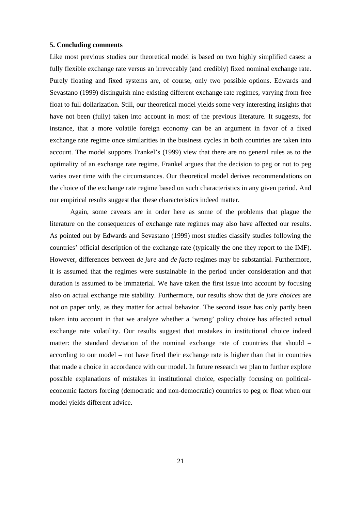# **5. Concluding comments**

Like most previous studies our theoretical model is based on two highly simplified cases: a fully flexible exchange rate versus an irrevocably (and credibly) fixed nominal exchange rate. Purely floating and fixed systems are, of course, only two possible options. Edwards and Sevastano (1999) distinguish nine existing different exchange rate regimes, varying from free float to full dollarization. Still, our theoretical model yields some very interesting insights that have not been (fully) taken into account in most of the previous literature. It suggests, for instance, that a more volatile foreign economy can be an argument in favor of a fixed exchange rate regime once similarities in the business cycles in both countries are taken into account. The model supports Frankel's (1999) view that there are no general rules as to the optimality of an exchange rate regime. Frankel argues that the decision to peg or not to peg varies over time with the circumstances. Our theoretical model derives recommendations on the choice of the exchange rate regime based on such characteristics in any given period. And our empirical results suggest that these characteristics indeed matter.

Again, some caveats are in order here as some of the problems that plague the literature on the consequences of exchange rate regimes may also have affected our results. As pointed out by Edwards and Sevastano (1999) most studies classify studies following the countries' official description of the exchange rate (typically the one they report to the IMF). However, differences between *de jure* and *de facto* regimes may be substantial. Furthermore, it is assumed that the regimes were sustainable in the period under consideration and that duration is assumed to be immaterial. We have taken the first issue into account by focusing also on actual exchange rate stability. Furthermore, our results show that de *jure choices* are not on paper only, as they matter for actual behavior. The second issue has only partly been taken into account in that we analyze whether a 'wrong' policy choice has affected actual exchange rate volatility. Our results suggest that mistakes in institutional choice indeed matter: the standard deviation of the nominal exchange rate of countries that should – according to our model – not have fixed their exchange rate is higher than that in countries that made a choice in accordance with our model. In future research we plan to further explore possible explanations of mistakes in institutional choice, especially focusing on politicaleconomic factors forcing (democratic and non-democratic) countries to peg or float when our model yields different advice.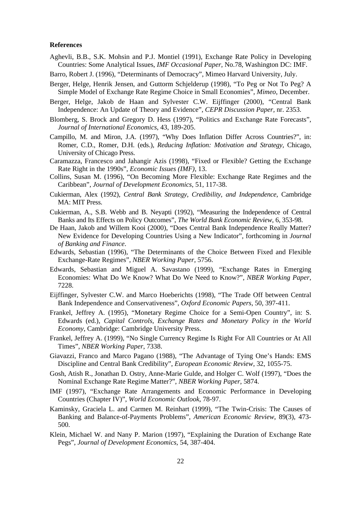### **References**

- Aghevli, B.B., S.K. Mohsin and P.J. Montiel (1991), Exchange Rate Policy in Developing Countries: Some Analytical Issues, *IMF Occasional Paper*, No.78, Washington DC: IMF.
- Barro, Robert J. (1996), "Determinants of Democracy", Mimeo Harvard University, July.
- Berger, Helge, Henrik Jensen, and Guttorm Schjelderup (1998), "To Peg or Not To Peg? A Simple Model of Exchange Rate Regime Choice in Small Economies", *Mimeo*, December.
- Berger, Helge, Jakob de Haan and Sylvester C.W. Eijffinger (2000), "Central Bank Independence: An Update of Theory and Evidence", *CEPR Discussion Paper,* nr. 2353.
- Blomberg, S. Brock and Gregory D. Hess (1997), "Politics and Exchange Rate Forecasts", *Journal of International Economics*, 43, 189-205.
- Campillo, M. and Miron, J.A. (1997), "Why Does Inflation Differ Across Countries?", in: Romer, C.D., Romer, D.H. (eds.), *Reducing Inflation: Motivation and Strategy,* Chicago, University of Chicago Press.
- Caramazza, Francesco and Jahangir Azis (1998), "Fixed or Flexible? Getting the Exchange Rate Right in the 1990s", *Economic Issues (IMF)*, 13.
- Collins, Susan M. (1996), "On Becoming More Flexible: Exchange Rate Regimes and the Caribbean", *Journal of Development Economics*, 51, 117-38.
- Cukierman, Alex (1992), *Central Bank Strategy, Credibility, and Independence*, Cambridge MA: MIT Press.
- Cukierman, A., S.B. Webb and B. Neyapti (1992), "Measuring the Independence of Central Banks and Its Effects on Policy Outcomes", *The World Bank Economic Review,* 6, 353-98.
- De Haan, Jakob and Willem Kooi (2000), "Does Central Bank Independence Really Matter? New Evidence for Developing Countries Using a New Indicator", forthcoming in *Journal of Banking and Finance*.
- Edwards, Sebastian (1996), "The Determinants of the Choice Between Fixed and Flexible Exchange-Rate Regimes", *NBER Working Paper*, 5756.
- Edwards, Sebastian and Miguel A. Savastano (1999), "Exchange Rates in Emerging Economies: What Do We Know? What Do We Need to Know?", *NBER Working Paper*, 7228.
- Eijffinger, Sylvester C.W. and Marco Hoeberichts (1998), "The Trade Off between Central Bank Independence and Conservativeness", *Oxford Economic Papers*, 50, 397-411.
- Frankel, Jeffrey A. (1995), "Monetary Regime Choice for a Semi-Open Country", in: S. Edwards (ed.), *Capital Controls, Exchange Rates and Monetary Policy in the World Economy*, Cambridge: Cambridge University Press.
- Frankel, Jeffrey A. (1999), "No Single Currency Regime Is Right For All Countries or At All Times", *NBER Working Paper*, 7338.
- Giavazzi, Franco and Marco Pagano (1988), "The Advantage of Tying One's Hands: EMS Discipline and Central Bank Credibility", *European Economic Review*, 32, 1055-75.
- Gosh, Atish R., Jonathan D. Ostry, Anne-Marie Gulde, and Holger C. Wolf (1997), "Does the Nominal Exchange Rate Regime Matter?", *NBER Working Paper*, 5874.
- IMF (1997), "Exchange Rate Arrangements and Economic Performance in Developing Countries (Chapter IV)", *World Economic Outlook*, 78-97.
- Kaminsky, Graciela L. and Carmen M. Reinhart (1999), "The Twin-Crisis: The Causes of Banking and Balance-of-Payments Problems", *American Economic Review*, 89(3), 473- 500.
- Klein, Michael W. and Nany P. Marion (1997), "Explaining the Duration of Exchange Rate Pegs", *Journal of Development Economics*, 54, 387-404.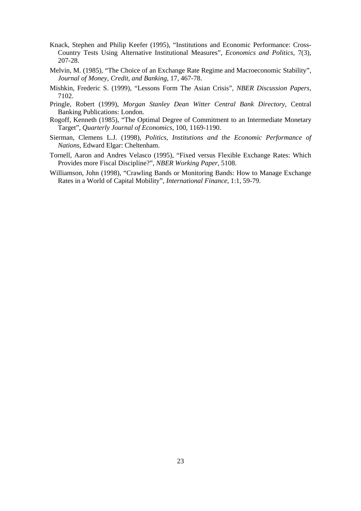- Knack, Stephen and Philip Keefer (1995), "Institutions and Economic Performance: Cross-Country Tests Using Alternative Institutional Measures", *Economics and Politics*, 7(3), 207-28.
- Melvin, M. (1985), "The Choice of an Exchange Rate Regime and Macroeconomic Stability", *Journal of Money, Credit, and Banking*, 17, 467-78.
- Mishkin, Frederic S. (1999), "Lessons Form The Asian Crisis", *NBER Discussion Papers*, 7102.
- Pringle, Robert (1999), *Morgan Stanley Dean Witter Central Bank Directory*, Central Banking Publications: London.
- Rogoff, Kenneth (1985), "The Optimal Degree of Commitment to an Intermediate Monetary Target", *Quarterly Journal of Economics*, 100, 1169-1190.
- Sierman, Clemens L.J. (1998), *Politics, Institutions and the Economic Performance of Nations*, Edward Elgar: Cheltenham.
- Tornell, Aaron and Andres Velasco (1995), "Fixed versus Flexible Exchange Rates: Which Provides more Fiscal Discipline?", *NBER Working Paper*, 5108.
- Williamson, John (1998), "Crawling Bands or Monitoring Bands: How to Manage Exchange Rates in a World of Capital Mobility", *International Finance*, 1:1, 59-79.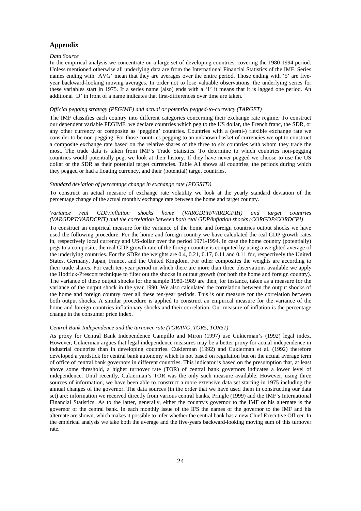# **Appendix**

#### *Data Source*

In the empirical analysis we concentrate on a large set of developing countries, covering the 1980-1994 period. Unless mentioned otherwise all underlying data are from the International Financial Statistics of the IMF. Series names ending with 'AVG' mean that they are averages over the entire period. Those ending with '5' are fiveyear backward-looking moving averages. In order not to lose valuable observations, the underlying series for these variables start in 1975. If a series name (also) ends with a '1' it means that it is lagged one period. An additional 'D' in front of a name indicates that first-differences over time are taken.

#### *Official pegging strategy (PEGIMF) and actual or potential pegged-to-currency (TARGET)*

The IMF classifies each country into different categories concerning their exchange rate regime. To construct our dependent variable PEGIMF, we declare countries which peg to the US dollar, the French franc, the SDR, or any other currency or composite as 'pegging' countries. Countries with a (semi-) flexible exchange rate we consider to be non-pegging. For those countries pegging to an unknown basket of currencies we opt to construct a composite exchange rate based on the relative shares of the three to six countries with whom they trade the most. The trade data is taken from IMF's Trade Statistics. To determine to which countries non-pegging countries would potentially peg, we look at their history. If they have never pegged we choose to use the US dollar or the SDR as their potential target currencies. Table A1 shows all countries, the periods during which they pegged or had a floating currency, and their (potential) target countries.

#### *Standard deviation of percentage change in exchange rate (PEGSTD)*

To construct an actual measure of exchange rate volatility we look at the yearly standard deviation of the percentage change of the actual monthly exchange rate between the home and target country.

#### *Variance real GDP/inflation shocks home (VARGDPH/VARDCPIH) and target countries (VARGDPT/VARDCPIT) and the correlation between both real GDP/inflation shocks (CORGDP/CORDCPI)*

To construct an empirical measure for the variance of the home and foreign countries output shocks we have used the following procedure. For the home and foreign country we have calculated the real GDP growth rates in, respectively local currency and US-dollar over the period 1971-1994. In case the home country (potentially) pegs to a composite, the real GDP growth rate of the foreign country is computed by using a weighted average of the underlying countries. For the SDRs the weights are 0.4, 0.21, 0.17, 0.11 and 0.11 for, respectively the United States, Germany, Japan, France, and the United Kingdom. For other composites the weights are according to their trade shares. For each ten-year period in which there are more than three observations available we apply the Hodrick-Prescott technique to filter out the shocks in output growth (for both the home and foreign country). The variance of these output shocks for the sample 1980-1989 are then, for instance, taken as a measure for the variance of the output shock in the year 1990. We also calculated the correlation between the output shocks of the home and foreign country over all these ten-year periods. This is our measure for the correlation between both output shocks. A similar procedure is applied to construct an empirical measure for the variance of the home and foreign countries inflationary shocks and their correlation. Our measure of inflation is the percentage change in the consumer price index.

#### *Central Bank Independence and the turnover rate (TORAVG, TOR5, TOR51)*

As proxy for Central Bank Independence Campillo and Miron (1997) use Cukierman's (1992) legal index. However, Cukierman argues that legal independence measures may be a better proxy for actual independence in industrial countries than in developing countries. Cukierman (1992) and Cukierman et al. (1992) therefore developed a yardstick for central bank autonomy which is not based on regulation but on the actual average term of office of central bank governors in different countries. This indicator is based on the presumption that, at least above some threshold, a higher turnover rate (TOR) of central bank governors indicates a lower level of independence. Until recently, Cukierman's TOR was the only such measure available. However, using three sources of information, we have been able to construct a more extensive data set starting in 1975 including the annual changes of the governor. The data sources (in the order that we have used them in constructing our data set) are: information we received directly from various central banks, Pringle (1999) and the IMF's International Financial Statistics. As to the latter, generally, either the country's governor to the IMF or his alternate is the governor of the central bank. In each monthly issue of the IFS the names of the governor to the IMF and his alternate are shown, which makes it possible to infer whether the central bank has a new Chief Executive Officer. In the empirical analysis we take both the average and the five-years backward-looking moving sum of this turnover rate.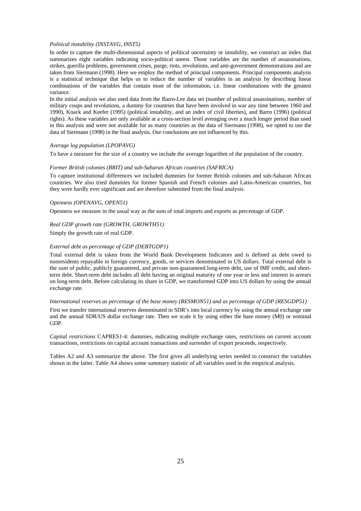#### *Political instability (INSTAVG, INST5)*

In order to capture the multi-dimensional aspects of political uncertainty or instability, we construct an index that summarizes eight variables indicating socio-political unrest. Those variables are the number of assassinations, strikes, guerilla problems, government crises, purge, riots, revolutions, and anti-government demonstrations and are taken from Siermann (1998). Here we employ the method of principal components. Principal components analysis is a statistical technique that helps us to reduce the number of variables in an analysis by describing linear combinations of the variables that contain most of the information, i.e. linear combinations with the greatest variance.

In the initial analysis we also used data from the Barro-Lee data set (number of political assassinations, number of military coups and revolutions, a dummy for countries that have been involved in war any time between 1960 and 1990), Knack and Keefer (1995) (political instability, and an index of civil liberties), and Barro (1996) (political rights). As these variables are only available at a cross-section level averaging over a much longer period than used in this analysis and were not available for as many countries as the data of Siermann (1998), we opted to use the data of Siermann (1998) in the final analysis. Our conclusions are not influenced by this.

#### *Average log population (LPOPAVG)*

To have a measure for the size of a country we include the average logarithm of the population of the country.

#### *Former British colonies (BRIT) and sub-Saharan African countries (SAFRICA)*

To capture institutional differences we included dummies for former British colonies and sub-Saharan African countries. We also tried dummies for former Spanish and French colonies and Latin-American countries, but they were hardly ever significant and are therefore submitted from the final analysis.

#### *Openness (OPENAVG, OPEN51)*

Openness we measure in the usual way as the sum of total imports and exports as percentage of GDP.

# *Real GDP growth rate (GROWTH, GROWTH51)*

Simply the growth rate of real GDP.

#### *External debt as percentage of GDP (DEBTGDP1)*

Total external debt is taken from the World Bank Development Indicators and is defined as debt owed to nonresidents repayable in foreign currency, goods, or services denominated in US dollars. Total external debt is the sum of public, publicly guaranteed, and private non-guaranteed long-term debt, use of IMF credit, and shortterm debt. Short-term debt includes all debt having an original maturity of one year or less and interest in arrears on long-term debt. Before calculating its share in GDP, we transformed GDP into US dollars by using the annual exchange rate.

#### *International reserves as percentage of the base money (RESMON51) and as percentage of GDP (RESGDP51)*

First we transfer international reserves denominated in SDR's into local currency by using the annual exchange rate and the annual SDR/US dollar exchange rate. Then we scale it by using either the base money (M0) or nominal GDP.

*Capital restrictions* CAPRES1-4: dummies, indicating multiple exchange rates, restrictions on current account transactions, restrictions on capital account transactions and surrender of export proceeds, respectively.

Tables A2 and A3 summarize the above. The first gives all underlying series needed to construct the variables shown in the latter. Table A4 shows some summary statistic of all variables used in the empirical analysis.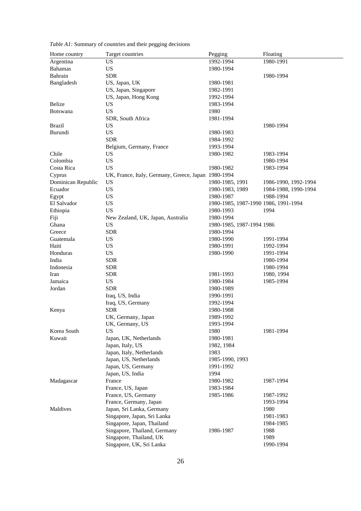| Home country       | Target countries                                    | Pegging                              | Floating             |
|--------------------|-----------------------------------------------------|--------------------------------------|----------------------|
| Argentina          | <b>US</b>                                           | 1992-1994                            | 1980-1991            |
| <b>Bahamas</b>     | <b>US</b>                                           | 1980-1994                            |                      |
| Bahrain            | <b>SDR</b>                                          |                                      | 1980-1994            |
| Bangladesh         | US, Japan, UK                                       | 1980-1981                            |                      |
|                    | US, Japan, Singapore                                | 1982-1991                            |                      |
|                    | US, Japan, Hong Kong                                | 1992-1994                            |                      |
| Belize             | <b>US</b>                                           | 1983-1994                            |                      |
| <b>Botswana</b>    | <b>US</b>                                           | 1980                                 |                      |
|                    | SDR, South Africa                                   | 1981-1994                            |                      |
| <b>Brazil</b>      | <b>US</b>                                           |                                      | 1980-1994            |
| Burundi            | <b>US</b>                                           | 1980-1983                            |                      |
|                    | <b>SDR</b>                                          | 1984-1992                            |                      |
|                    | Belgium, Germany, France                            | 1993-1994                            |                      |
| Chile              | <b>US</b>                                           | 1980-1982                            | 1983-1994            |
| Colombia           | <b>US</b>                                           |                                      | 1980-1994            |
| Costa Rica         | <b>US</b>                                           | 1980-1982                            | 1983-1994            |
| Cyprus             | UK, France, Italy, Germany, Greece, Japan 1980-1994 |                                      |                      |
| Dominican Republic | <b>US</b>                                           | 1980-1985, 1991                      | 1986-1990, 1992-1994 |
| Ecuador            | <b>US</b>                                           | 1980-1983, 1989                      | 1984-1988, 1990-1994 |
| Egypt              | <b>US</b>                                           | 1980-1987                            | 1988-1994            |
| El Salvador        | <b>US</b>                                           | 1980-1985, 1987-1990 1986, 1991-1994 |                      |
| Ethiopia           | <b>US</b>                                           | 1980-1993                            | 1994                 |
| Fiji               | New Zealand, UK, Japan, Australia                   | 1980-1994                            |                      |
| Ghana              | <b>US</b>                                           | 1980-1985, 1987-1994 1986            |                      |
| Greece             | <b>SDR</b>                                          | 1980-1994                            |                      |
| Guatemala          | <b>US</b>                                           | 1980-1990                            | 1991-1994            |
| Haiti              | <b>US</b>                                           | 1980-1991                            | 1992-1994            |
| Honduras           | <b>US</b>                                           | 1980-1990                            | 1991-1994            |
| India              | <b>SDR</b>                                          |                                      | 1980-1994            |
| Indonesia          | <b>SDR</b>                                          |                                      | 1980-1994            |
| Iran               | <b>SDR</b>                                          | 1981-1993                            | 1980, 1994           |
| Jamaica            | <b>US</b>                                           | 1980-1984                            | 1985-1994            |
| Jordan             | <b>SDR</b>                                          | 1980-1989                            |                      |
|                    | Iraq, US, India                                     | 1990-1991                            |                      |
|                    | Iraq, US, Germany                                   | 1992-1994                            |                      |
| Kenya              | <b>SDR</b>                                          | 1980-1988                            |                      |
|                    | UK, Germany, Japan                                  | 1989-1992                            |                      |
|                    | UK, Germany, US                                     | 1993-1994                            |                      |
| Korea South        | US                                                  | 1980                                 | 1981-1994            |
| Kuwait             | Japan, UK, Netherlands                              | 1980-1981                            |                      |
|                    | Japan, Italy, US                                    | 1982, 1984                           |                      |
|                    | Japan, Italy, Netherlands                           | 1983                                 |                      |
|                    | Japan, US, Netherlands                              | 1985-1990, 1993                      |                      |
|                    | Japan, US, Germany                                  | 1991-1992                            |                      |
|                    | Japan, US, India                                    | 1994                                 |                      |
| Madagascar         | France                                              | 1980-1982                            | 1987-1994            |
|                    | France, US, Japan                                   | 1983-1984                            |                      |
|                    | France, US, Germany                                 | 1985-1986                            | 1987-1992            |
|                    | France, Germany, Japan                              |                                      | 1993-1994            |
| Maldives           | Japan, Sri Lanka, Germany                           |                                      | 1980                 |
|                    | Singapore, Japan, Sri Lanka                         |                                      | 1981-1983            |
|                    | Singapore, Japan, Thailand                          |                                      | 1984-1985            |
|                    | Singapore, Thailand, Germany                        | 1986-1987                            | 1988                 |
|                    | Singapore, Thailand, UK                             |                                      | 1989                 |
|                    | Singapore, UK, Sri Lanka                            |                                      | 1990-1994            |
|                    |                                                     |                                      |                      |

*Table A1:* Summary of countries and their pegging decisions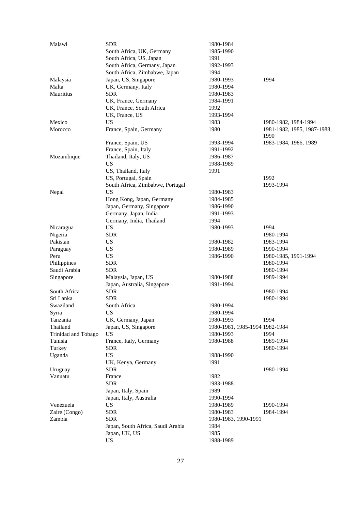| Malawi              | <b>SDR</b>                        | 1980-1984                      |                                     |
|---------------------|-----------------------------------|--------------------------------|-------------------------------------|
|                     | South Africa, UK, Germany         | 1985-1990                      |                                     |
|                     | South Africa, US, Japan           | 1991                           |                                     |
|                     | South Africa, Germany, Japan      | 1992-1993                      |                                     |
|                     | South Africa, Zimbabwe, Japan     | 1994                           |                                     |
| Malaysia            | Japan, US, Singapore              | 1980-1993                      | 1994                                |
| Malta               | UK, Germany, Italy                | 1980-1994                      |                                     |
| <b>Mauritius</b>    | <b>SDR</b>                        | 1980-1983                      |                                     |
|                     | UK, France, Germany               | 1984-1991                      |                                     |
|                     | UK, France, South Africa          | 1992                           |                                     |
|                     | UK, France, US                    | 1993-1994                      |                                     |
| Mexico              | <b>US</b>                         | 1983                           | 1980-1982, 1984-1994                |
| Morocco             | France, Spain, Germany            | 1980                           | 1981-1982, 1985, 1987-1988,<br>1990 |
|                     | France, Spain, US                 | 1993-1994                      | 1983-1984, 1986, 1989               |
|                     | France, Spain, Italy              | 1991-1992                      |                                     |
| Mozambique          | Thailand, Italy, US               | 1986-1987                      |                                     |
|                     | <b>US</b>                         | 1988-1989                      |                                     |
|                     | US, Thailand, Italy               | 1991                           |                                     |
|                     | US, Portugal, Spain               |                                | 1992                                |
|                     | South Africa, Zimbabwe, Portugal  |                                | 1993-1994                           |
| Nepal               | <b>US</b>                         | 1980-1983                      |                                     |
|                     | Hong Kong, Japan, Germany         | 1984-1985                      |                                     |
|                     | Japan, Germany, Singapore         | 1986-1990                      |                                     |
|                     | Germany, Japan, India             | 1991-1993                      |                                     |
|                     | Germany, India, Thailand          | 1994                           |                                     |
| Nicaragua           | <b>US</b>                         | 1980-1993                      | 1994                                |
| Nigeria             | <b>SDR</b>                        |                                | 1980-1994                           |
| Pakistan            | US                                | 1980-1982                      | 1983-1994                           |
| Paraguay            | <b>US</b>                         | 1980-1989                      | 1990-1994                           |
| Peru                | <b>US</b>                         | 1986-1990                      | 1980-1985, 1991-1994                |
| Philippines         | <b>SDR</b>                        |                                | 1980-1994                           |
| Saudi Arabia        | <b>SDR</b>                        |                                | 1980-1994                           |
| Singapore           | Malaysia, Japan, US               | 1980-1988                      | 1989-1994                           |
|                     | Japan, Australia, Singapore       | 1991-1994                      |                                     |
| South Africa        | <b>SDR</b>                        |                                | 1980-1994                           |
| Sri Lanka           | <b>SDR</b>                        |                                | 1980-1994                           |
| Swaziland           | South Africa                      | 1980-1994                      |                                     |
| Syria               | <b>US</b>                         | 1980-1994                      |                                     |
| Tanzania            | UK, Germany, Japan                | 1980-1993                      | 1994                                |
| Thailand            | Japan, US, Singapore              | 1980-1981, 1985-1994 1982-1984 |                                     |
| Trinidad and Tobago | <b>US</b>                         | 1980-1993                      | 1994                                |
| Tunisia             | France, Italy, Germany            | 1980-1988                      | 1989-1994                           |
| Turkey              | <b>SDR</b>                        |                                | 1980-1994                           |
| Uganda              | <b>US</b>                         | 1988-1990                      |                                     |
|                     | UK, Kenya, Germany                | 1991                           |                                     |
| Uruguay             | <b>SDR</b>                        |                                | 1980-1994                           |
| Vanuatu             | France                            | 1982                           |                                     |
|                     | <b>SDR</b>                        | 1983-1988                      |                                     |
|                     | Japan, Italy, Spain               | 1989                           |                                     |
|                     | Japan, Italy, Australia           | 1990-1994                      |                                     |
| Venezuela           | <b>US</b>                         | 1980-1989                      | 1990-1994                           |
| Zaire (Congo)       | <b>SDR</b>                        | 1980-1983                      | 1984-1994                           |
| Zambia              | <b>SDR</b>                        | 1980-1983, 1990-1991           |                                     |
|                     | Japan, South Africa, Saudi Arabia | 1984                           |                                     |
|                     | Japan, UK, US                     | 1985                           |                                     |
|                     | <b>US</b>                         | 1988-1989                      |                                     |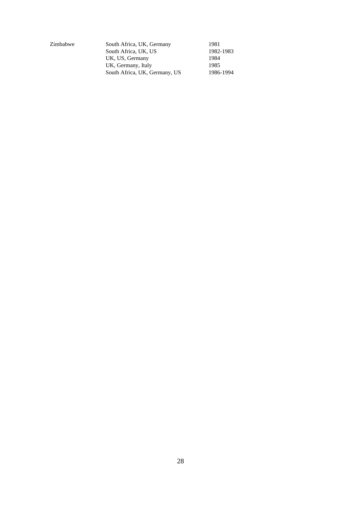Zimbabwe

| South Africa, UK, Germany     | 1981      |
|-------------------------------|-----------|
| South Africa, UK, US          | 1982-1983 |
| UK, US, Germany               | 1984      |
| UK, Germany, Italy            | 1985      |
| South Africa, UK, Germany, US | 1986-1994 |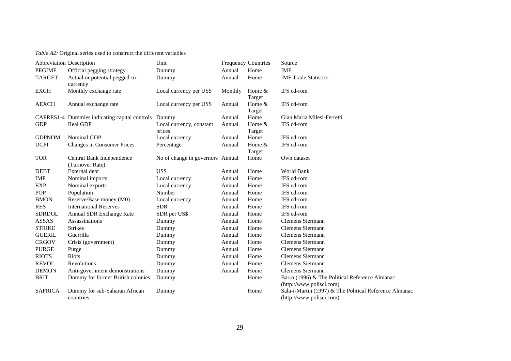*Table A2:* Original series used to construct the different variables

|                | Abbreviation Description                            | Unit                             |         | <b>Frequency Countries</b> | Source                                                 |
|----------------|-----------------------------------------------------|----------------------------------|---------|----------------------------|--------------------------------------------------------|
| <b>PEGIMF</b>  | Official pegging strategy                           | Dummy                            | Annual  | Home                       | <b>IMF</b>                                             |
| <b>TARGET</b>  | Actual or potential pegged-to-                      | Dummy                            | Annual  | Home                       | <b>IMF Trade Statistics</b>                            |
|                | currency                                            |                                  |         |                            |                                                        |
| <b>EXCH</b>    | Monthly exchange rate                               | Local currency per US\$          | Monthly | Home $&$                   | IFS cd-rom                                             |
| <b>AEXCH</b>   |                                                     |                                  | Annual  | Target<br>Home &           | IFS cd-rom                                             |
|                | Annual exchange rate                                | Local currency per US\$          |         | Target                     |                                                        |
|                | CAPRES1-4 Dummies indicating capital controls Dummy |                                  | Annual  | Home                       | Gian Maria Milesi-Ferretti                             |
| <b>GDP</b>     | Real GDP                                            | Local currency, constant         | Annual  | Home $&$                   | IFS cd-rom                                             |
|                |                                                     | prices                           |         | Target                     |                                                        |
| <b>GDPNOM</b>  | <b>Nominal GDP</b>                                  | Local currency                   | Annual  | Home                       | IFS cd-rom                                             |
| <b>DCPI</b>    | <b>Changes in Consumer Prices</b>                   | Percentage                       | Annual  | Home $&$                   | IFS cd-rom                                             |
|                |                                                     |                                  |         | Target                     |                                                        |
| <b>TOR</b>     | Central Bank Independence                           | No of change in governors Annual |         | Home                       | Own dataset                                            |
|                | (Turnover Rate)                                     |                                  |         |                            |                                                        |
| <b>DEBT</b>    | External debt                                       | US\$                             | Annual  | Home                       | World Bank                                             |
| <b>IMP</b>     | Nominal imports                                     | Local currency                   | Annual  | Home                       | IFS cd-rom                                             |
| <b>EXP</b>     | Nominal exports                                     | Local currency                   | Annual  | Home                       | IFS cd-rom                                             |
| <b>POP</b>     | Population                                          | Number                           | Annual  | Home                       | IFS cd-rom                                             |
| <b>BMON</b>    | Reserve/Base money (M0)                             | Local currency                   | Annual  | Home                       | IFS cd-rom                                             |
| <b>RES</b>     | <b>International Reserves</b>                       | <b>SDR</b>                       | Annual  | Home                       | IFS cd-rom                                             |
| <b>SDRDOL</b>  | Annual SDR Exchange Rate                            | SDR per US\$                     | Annual  | Home                       | IFS cd-rom                                             |
| ASSAS          | Assassinations                                      | Dummy                            | Annual  | Home                       | Clemens Siermann                                       |
| <b>STRIKE</b>  | <b>Strikes</b>                                      | Dummy                            | Annual  | Home                       | <b>Clemens Siermann</b>                                |
| <b>GUERIL</b>  | Guerrilla                                           | Dummy                            | Annual  | Home                       | Clemens Siermann                                       |
| <b>CRGOV</b>   | Crisis (government)                                 | Dummy                            | Annual  | Home                       | Clemens Siermann                                       |
| <b>PURGE</b>   | Purge                                               | Dummy                            | Annual  | Home                       | <b>Clemens Siermann</b>                                |
| <b>RIOTS</b>   | Riots                                               | Dummy                            | Annual  | Home                       | <b>Clemens Siermann</b>                                |
| <b>REVOL</b>   | <b>Revolutions</b>                                  | Dummy                            | Annual  | Home                       | <b>Clemens Siermann</b>                                |
| <b>DEMON</b>   | Anti-government demonstrations                      | Dummy                            | Annual  | Home                       | <b>Clemens Siermann</b>                                |
| <b>BRIT</b>    | Dummy for former British colonies                   | Dummy                            |         | Home                       | Barro (1996) & The Political Reference Almanac         |
|                |                                                     |                                  |         |                            | (http://www.polisci.com)                               |
| <b>SAFRICA</b> | Dummy for sub-Saharan African                       | Dummy                            |         | Home                       | Sala-i-Martin (1997) & The Political Reference Almanac |
|                | countries                                           |                                  |         |                            | (http://www.polisci.com)                               |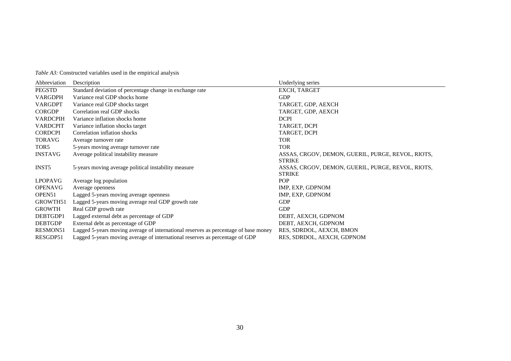*Table A3:* Constructed variables used in the empirical analysis

| Abbreviation     | Description                                                                         | Underlying series                                 |
|------------------|-------------------------------------------------------------------------------------|---------------------------------------------------|
| PEGSTD           | Standard deviation of percentage change in exchange rate                            | EXCH, TARGET                                      |
| VARGDPH          | Variance real GDP shocks home                                                       | <b>GDP</b>                                        |
| <b>VARGDPT</b>   | Variance real GDP shocks target                                                     | TARGET, GDP, AEXCH                                |
| <b>CORGDP</b>    | Correlation real GDP shocks                                                         | TARGET, GDP, AEXCH                                |
| <b>VARDCPIH</b>  | Variance inflation shocks home                                                      | <b>DCPI</b>                                       |
| <b>VARDCPIT</b>  | Variance inflation shocks target                                                    | TARGET, DCPI                                      |
| <b>CORDCPI</b>   | Correlation inflation shocks                                                        | TARGET, DCPI                                      |
| <b>TORAVG</b>    | Average turnover rate                                                               | <b>TOR</b>                                        |
| TOR <sub>5</sub> | 5-years moving average turnover rate                                                | <b>TOR</b>                                        |
| <b>INSTAVG</b>   | Average political instability measure                                               | ASSAS, CRGOV, DEMON, GUERIL, PURGE, REVOL, RIOTS, |
|                  |                                                                                     | <b>STRIKE</b>                                     |
| <b>INST5</b>     | 5-years moving average political instability measure                                | ASSAS, CRGOV, DEMON, GUERIL, PURGE, REVOL, RIOTS, |
|                  |                                                                                     | <b>STRIKE</b>                                     |
| <b>LPOPAVG</b>   | Average log population                                                              | <b>POP</b>                                        |
| <b>OPENAVG</b>   | Average openness                                                                    | IMP, EXP, GDPNOM                                  |
| OPEN51           | Lagged 5-years moving average openness                                              | IMP, EXP, GDPNOM                                  |
| GROWTH51         | Lagged 5-years moving average real GDP growth rate                                  | <b>GDP</b>                                        |
| <b>GROWTH</b>    | Real GDP growth rate                                                                | <b>GDP</b>                                        |
| DEBTGDP1         | Lagged external debt as percentage of GDP                                           | DEBT, AEXCH, GDPNOM                               |
| <b>DEBTGDP</b>   | External debt as percentage of GDP                                                  | DEBT, AEXCH, GDPNOM                               |
| <b>RESMON51</b>  | Lagged 5-years moving average of international reserves as percentage of base money | RES, SDRDOL, AEXCH, BMON                          |
| RESGDP51         | Lagged 5-years moving average of international reserves as percentage of GDP        | RES, SDRDOL, AEXCH, GDPNOM                        |